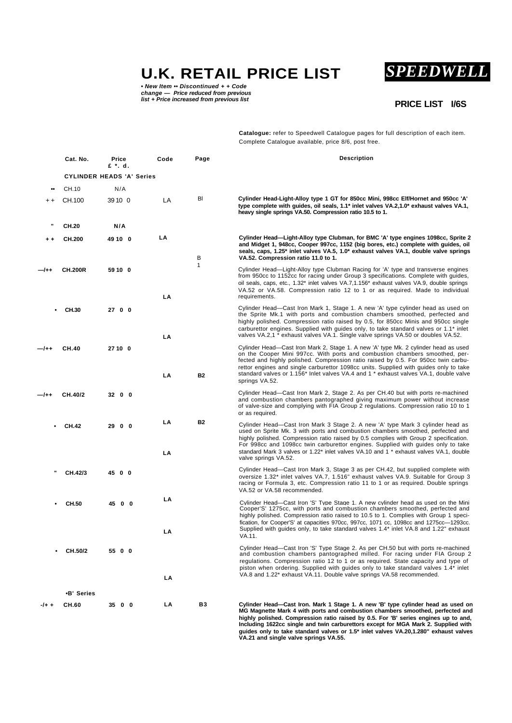**U.K. RETAIL PRICE LIST**

**•** *New Item* **••** *Discontinued + + Code change — Price reduced from previous list + Price increased from previous list*

# *SPEEDWELL*

# **PRICE LIST I/6S**

**Catalogue:** refer to Speedwell Catalogue pages for full description of each item. Complete Catalogue available, price 8/6, post free.

|         | Cat. No.                         | Price<br>£ *. d. | Code     | Page         | <b>Description</b>                                                                                                                                                                                                                                                                                                                                                                                                                                               |
|---------|----------------------------------|------------------|----------|--------------|------------------------------------------------------------------------------------------------------------------------------------------------------------------------------------------------------------------------------------------------------------------------------------------------------------------------------------------------------------------------------------------------------------------------------------------------------------------|
|         | <b>CYLINDER HEADS 'A' Series</b> |                  |          |              |                                                                                                                                                                                                                                                                                                                                                                                                                                                                  |
|         | CH.10                            | N/A              |          |              |                                                                                                                                                                                                                                                                                                                                                                                                                                                                  |
|         | CH.100                           | 39 10 0          | LA       | BI           | Cylinder Head-Light-Alloy type 1 GT for 850cc Mini, 998cc Elf/Hornet and 950cc 'A'<br>type complete with guides, oil seals, 1.1* inlet valves VA.2,1.0* exhaust valves VA.1,<br>heavy single springs VA.50. Compression ratio 10.5 to 1.                                                                                                                                                                                                                         |
|         | CH.20                            | N/A              |          |              |                                                                                                                                                                                                                                                                                                                                                                                                                                                                  |
|         | CH.200                           | 49 10 0          | LA       | в            | Cylinder Head-Light-Alloy type Clubman, for BMC 'A' type engines 1098cc, Sprite 2<br>and Midget 1, 948cc, Cooper 997cc, 1152 (big bores, etc.) complete with guides, oil<br>seals, caps, 1.25* inlet valves VA.5, 1.0* exhaust valves VA.1, double valve springs<br>VA.52. Compression ratio 11.0 to 1.                                                                                                                                                          |
| -/++    | <b>CH.200R</b>                   | 59 10 0          | LA       | $\mathbf{1}$ | Cylinder Head—Light-Alloy type Clubman Racing for 'A' type and transverse engines<br>from 950cc to 1152cc for racing under Group 3 specifications. Complete with guides,<br>oil seals, caps, etc., 1.32* inlet valves VA.7,1.156* exhaust valves VA.9, double springs<br>VA.52 or VA.58. Compression ratio 12 to 1 or as required. Made to individual<br>requirements.                                                                                           |
|         | CH.30                            | 27 0 0           | LA       |              | Cylinder Head—Cast Iron Mark 1, Stage 1. A new 'A' type cylinder head as used on<br>the Sprite Mk.1 with ports and combustion chambers smoothed, perfected and<br>highly polished. Compression ratio raised by 0.5, for 850cc Minis and 950cc single<br>carburettor engines. Supplied with guides only, to take standard valves or 1.1* inlet<br>valves VA.2,1 * exhaust valves VA.1. Single valve springs VA.50 or doubles VA.52.                               |
| —/++    | <b>CH.40</b>                     | 27 10 0          | LA       | <b>B2</b>    | Cylinder Head—Cast Iron Mark 2, Stage 1. A new 'A' type Mk. 2 cylinder head as used<br>on the Cooper Mini 997cc. With ports and combustion chambers smoothed, per-<br>fected and highly polished. Compression ratio raised by 0.5. For 950cc twin carbu-<br>rettor engines and single carburettor 1098cc units. Supplied with guides only to take<br>standard valves or 1.156* Inlet valves VA.4 and 1 * exhaust valves VA.1, double valve<br>springs VA.52.     |
| -/++    | CH.40/2                          | 32 0 0           |          |              | Cylinder Head—Cast Iron Mark 2, Stage 2. As per CH.40 but with ports re-machined<br>and combustion chambers pantographed giving maximum power without increase<br>of valve-size and complying with FIA Group 2 regulations. Compression ratio 10 to 1<br>or as required.                                                                                                                                                                                         |
|         | <b>CH.42</b>                     | 29 0 0           | LA<br>LA | <b>B2</b>    | Cylinder Head-Cast Iron Mark 3 Stage 2. A new 'A' type Mark 3 cylinder head as<br>used on Sprite Mk. 3 with ports and combustion chambers smoothed, perfected and<br>highly polished. Compression ratio raised by 0.5 complies with Group 2 specification.<br>For 998cc and 1098cc twin carburettor engines. Supplied with guides only to take<br>standard Mark 3 valves or 1.22* inlet valves VA.10 and 1 * exhaust valves VA.1, double<br>valve springs VA.52. |
| ш       | CH.42/3                          | 45 0 0           |          |              | Cylinder Head—Cast Iron Mark 3, Stage 3 as per CH.42, but supplied complete with<br>oversize 1.32* inlet valves VA.7, 1.516" exhaust valves VA.9. Suitable for Group 3<br>racing or Formula 3, etc. Compression ratio 11 to 1 or as required. Double springs<br>VA.52 or VA.58 recommended.                                                                                                                                                                      |
|         | CH.50                            | 45 0 0           | LA<br>LA |              | Cylinder Head-Cast Iron 'S' Type Stage 1. A new cylinder head as used on the Mini<br>Cooper'S' 1275cc, with ports and combustion chambers smoothed, perfected and<br>highly polished. Compression ratio raised to 10.5 to 1. Complies with Group 1 speci-<br>fication, for Cooper'S' at capacities 970cc, 997cc, 1071 cc, 1098cc and 1275cc-1293cc.<br>Supplied with guides only, to take standard valves 1.4* inlet VA.8 and 1.22" exhaust<br>VA.11.            |
|         | CH.50/2                          | 55 0 0           | LA       |              | Cylinder Head-Cast Iron 'S' Type Stage 2. As per CH.50 but with ports re-machined<br>and combustion chambers pantographed milled. For racing under FIA Group 2<br>regulations. Compression ratio 12 to 1 or as required. State capacity and type of<br>piston when ordering. Supplied with guides only to take standard valves 1.4* inlet<br>VA.8 and 1.22* exhaust VA.11. Double valve springs VA.58 recommended.                                               |
|         | •B' Series                       |                  |          |              |                                                                                                                                                                                                                                                                                                                                                                                                                                                                  |
| $-1+$ + | CH.60                            | 35 0 0           | LA       | В3           | Cylinder Head—Cast Iron. Mark 1 Stage 1. A new 'B' type cylinder head as used on<br>MG Magnette Mark 4 with ports and combustion chambers smoothed, perfected and                                                                                                                                                                                                                                                                                                |

**highly polished. Compression ratio raised by 0.5. For 'B' series engines up to and, Including 1622cc single and twin carburettors except for MGA Mark 2. Supplied with guides only to take standard valves or 1.5\* inlet valves VA.20,1.280" exhaust valves VA.21 and single valve springs VA.55.**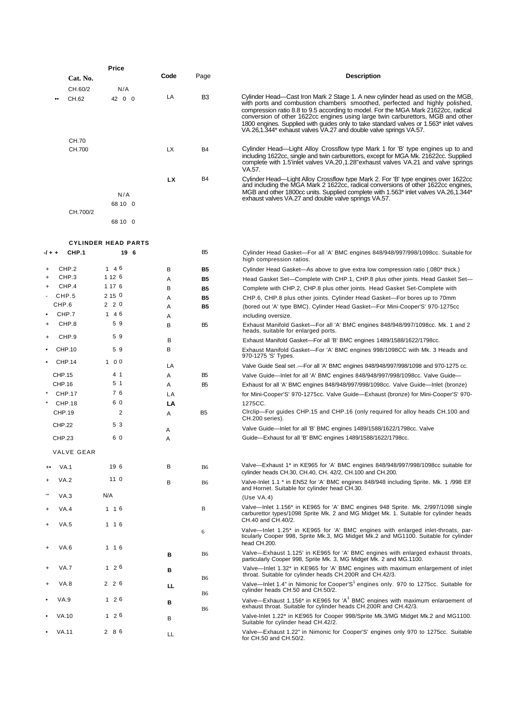|           |                 | Price                      |           |                 |                                                                                                                                                                                                                                                                                                                                                                                                                                                                                                        |
|-----------|-----------------|----------------------------|-----------|-----------------|--------------------------------------------------------------------------------------------------------------------------------------------------------------------------------------------------------------------------------------------------------------------------------------------------------------------------------------------------------------------------------------------------------------------------------------------------------------------------------------------------------|
|           | Cat. No.        |                            | Code      | Page            | <b>Description</b>                                                                                                                                                                                                                                                                                                                                                                                                                                                                                     |
|           | CH.60/2         | N/A                        |           |                 |                                                                                                                                                                                                                                                                                                                                                                                                                                                                                                        |
|           | CH.62           | 42 0 0                     | LA        | B <sub>3</sub>  | Cylinder Head—Cast Iron Mark 2 Stage 1. A new cylinder head as used on the MGB,<br>with ports and combustion chambers smoothed, perfected and highly polished,<br>compression ratio 8.8 to 9.5 according to model. For the MGA Mark 21622cc, radical<br>conversion of other 1622cc engines using large twin carburettors, MGB and other<br>1800 engines. Supplied with guides only to take standard valves or 1.563* inlet valves<br>VA.26,1.344* exhaust valves VA.27 and double valve springs VA.57. |
|           | CH.70<br>CH.700 |                            | <b>LX</b> | <b>B4</b>       | Cylinder Head—Light Alloy Crossflow type Mark 1 for 'B' type engines up to and<br>including 1622cc, single and twin carburettors, except for MGA Mk. 21622cc. Supplied<br>complete with 1.5'inlet valves VA.20,1.28" exhaust valves VA.21 and valve springs<br>VA.57.                                                                                                                                                                                                                                  |
|           |                 | N/A<br>68 10 0             | <b>LX</b> | <b>B4</b>       | Cylinder Head—Light Alloy Crossflow type Mark 2. For 'B' type engines over 1622cc<br>and including the MGA Mark 2 1622cc, radical conversions of other 1622cc engines,<br>MGB and other 1800cc units. Supplied complete with 1.563* inlet valves VA.26,1.344*<br>exhaust valves VA.27 and double valve springs VA.57.                                                                                                                                                                                  |
|           | CH.700/2        | 68 10 0                    |           |                 |                                                                                                                                                                                                                                                                                                                                                                                                                                                                                                        |
|           |                 | <b>CYLINDER HEAD PARTS</b> |           |                 |                                                                                                                                                                                                                                                                                                                                                                                                                                                                                                        |
| -/ + +    | CHP.1           | 19 6                       |           | B <sub>5</sub>  | Cylinder Head Gasket-For all 'A' BMC engines 848/948/997/998/1098cc. Suitable for<br>high compression ratios.                                                                                                                                                                                                                                                                                                                                                                                          |
|           | CHP.2           | 1 4 6                      | В         | <b>B5</b>       | Cylinder Head Gasket—As above to give extra low compression ratio (.080* thick.)                                                                                                                                                                                                                                                                                                                                                                                                                       |
|           | CHP.3           | 1 1 2 6                    | Α         | <b>B5</b>       | Head Gasket Set-Complete with CHP.1, CHP.8 plus other joints. Head Gasket Set-                                                                                                                                                                                                                                                                                                                                                                                                                         |
| $\ddot{}$ | CHP.4<br>CHP.5  | 1 17 6<br>2 15 0           | B         | <b>B5</b>       | Complete with CHP.2, CHP.8 plus other joints. Head Gasket Set-Complete with                                                                                                                                                                                                                                                                                                                                                                                                                            |
|           | CHP.6           | 2 2 0                      | Α<br>Α    | B5<br><b>B5</b> | CHP.6, CHP.8 plus other joints. Cylinder Head Gasket—For bores up to 70mm                                                                                                                                                                                                                                                                                                                                                                                                                              |
|           | CHP.7           | 1 4 6                      | Α         |                 | (bored out 'A' type BMC). Cylinder Head Gasket-For Mini-Cooper'S' 970-1275cc<br>including oversize.                                                                                                                                                                                                                                                                                                                                                                                                    |
| $\ddot{}$ | CHP.8           | 59                         | в         | B <sub>5</sub>  | Exhaust Manifold Gasket—For all 'A' BMC engines 848/948/997/1098cc. Mk. 1 and 2                                                                                                                                                                                                                                                                                                                                                                                                                        |
| $\ddot{}$ | CHP.9           | 59                         |           |                 | heads, suitable for enlarged ports.                                                                                                                                                                                                                                                                                                                                                                                                                                                                    |
|           |                 |                            | В         |                 | Exhaust Manifold Gasket-For all 'B' BMC engines 1489/1588/1622/1798cc.                                                                                                                                                                                                                                                                                                                                                                                                                                 |
|           | CHP.10          | 59                         | B         |                 | Exhaust Manifold Gasket—For 'A' BMC engines 998/1098CC with Mk. 3 Heads and<br>970-1275 'S' Types.                                                                                                                                                                                                                                                                                                                                                                                                     |
|           | <b>CHP.14</b>   | 100                        | LA        |                 | Valve Guide Seal set .- For all 'A' BMC engines 848/948/997/998/1098 and 970-1275 cc.                                                                                                                                                                                                                                                                                                                                                                                                                  |
|           | <b>CHP.15</b>   | 4 1                        | Α         | B <sub>5</sub>  | Valve Guide—Inlet for all 'A' BMC engines 848/948/997/998/1098cc. Valve Guide—                                                                                                                                                                                                                                                                                                                                                                                                                         |
|           | <b>CHP.16</b>   | 5 <sub>1</sub>             | Α         | B <sub>5</sub>  | Exhaust for all 'A' BMC engines 848/948/997/998/1098cc. Valve Guide—Inlet (bronze)                                                                                                                                                                                                                                                                                                                                                                                                                     |
|           | <b>CHP.17</b>   | 76                         | LA        |                 | for Mini-Cooper'S' 970-1275cc. Valve Guide-Exhaust (bronze) for Mini-Cooper'S' 970-                                                                                                                                                                                                                                                                                                                                                                                                                    |
|           | <b>CHP.18</b>   | 60                         | LA        |                 | 1275CC.                                                                                                                                                                                                                                                                                                                                                                                                                                                                                                |
|           | <b>CHP.19</b>   | $\overline{2}$             | Α         | B5              | Circlip-For guides CHP.15 and CHP.16 (only required for alloy heads CH.100 and<br>CH.200 series).                                                                                                                                                                                                                                                                                                                                                                                                      |
|           | <b>CHP.22</b>   | 53                         | A         |                 | Valve Guide—Inlet for all 'B' BMC engines 1489/1588/1622/1798cc. Valve                                                                                                                                                                                                                                                                                                                                                                                                                                 |
|           | <b>CHP.23</b>   | 60                         | A         |                 | Guide-Exhaust for all 'B' BMC engines 1489/1588/1622/1798cc.                                                                                                                                                                                                                                                                                                                                                                                                                                           |
|           | VALVE GEAR      |                            |           |                 |                                                                                                                                                                                                                                                                                                                                                                                                                                                                                                        |
|           | <b>VA.1</b>     | 19 6<br>110                | В         | <b>B6</b>       | Valve—Exhaust 1* in KE965 for 'A' BMC engines 848/948/997/998/1098cc suitable for<br>cylinder heads CH.30, CH.40, CH. 42/2, CH.100 and CH.200.                                                                                                                                                                                                                                                                                                                                                         |
| ÷.<br>ш   | VA.2<br>VA.3    | N/A                        | В         | <b>B</b> 6      | Valve-Inlet 1.1 * in EN52 for 'A' BMC engines 848/948 including Sprite. Mk. 1 /998 Elf<br>and Hornet. Suitable for cylinder head CH.30.<br>(Use $VA.4$ )                                                                                                                                                                                                                                                                                                                                               |
|           | VA.4            | $1 \t16$                   |           | В               | Valve—Inlet 1.156* in KE965 for 'A' BMC engines 948 Sprite. Mk. 2/997/1098 single                                                                                                                                                                                                                                                                                                                                                                                                                      |
| $\ddot{}$ | VA.5            | 1 1 6                      |           |                 | carburettor types/1098 Sprite Mk. 2 and MG Midget Mk. 1. Suitable for cylinder heads<br>CH.40 and CH.40/2.<br>Valve-lnlet 1.25* in KE965 for 'A' BMC engines with enlarged inlet-throats, par-                                                                                                                                                                                                                                                                                                         |
| $\ddot{}$ | VA.6            | 1 1 6                      |           | 6               | ticularly Cooper 998, Sprite Mk.3, MG Midget Mk.2 and MG1100. Suitable for cylinder<br>head CH.200.                                                                                                                                                                                                                                                                                                                                                                                                    |
|           | VA.7            | $1\quad 2\quad 6$          | в         | B6              | Valve—Exhaust 1.125' in KE965 for 'A' BMC engines with enlarged exhaust throats,<br>particularly Cooper 998, Sprite Mk. 3, MG Midget Mk. 2 and MG.1100.<br>Valve—Inlet 1.32* in KE965 for 'A' BMC engines with maximum enlargement of inlet                                                                                                                                                                                                                                                            |
|           |                 |                            | в         | B6              | throat. Suitable for cylinder heads CH.200R and CH.42/3.                                                                                                                                                                                                                                                                                                                                                                                                                                               |
|           | VA.8            | 226                        | ᄔ         | <b>B</b> 6      | Valve-Inlet 1.4" in Nimonic for Cooper'S <sup>1</sup> engines only. 970 to 1275cc. Suitable for<br>cylinder heads CH.50 and CH.50/2.                                                                                                                                                                                                                                                                                                                                                                   |
|           | VA.9            | 1 2 6                      | в         | <b>B</b> 6      | Valve-Exhaust 1.156* in KE965 for 'A <sup>1</sup> BMC engines with maximum enlargement of<br>exhaust throat. Suitable for cylinder heads CH.200R and CH.42/3.                                                                                                                                                                                                                                                                                                                                          |
|           | VA.10           | 1 2 6                      | в         |                 | Valve-Inlet 1.22 <sup>*</sup> in KE965 for Cooper 998/Sprite Mk.3/MG Midget Mk.2 and MG1100.<br>Suitable for cylinder head CH.42/2.                                                                                                                                                                                                                                                                                                                                                                    |
|           | VA.11           | 286                        | LL        |                 | Valve—Exhaust 1.22" in Nimonic for Cooper'S' engines only 970 to 1275cc. Suitable<br>for CH.50 and CH.50/2.                                                                                                                                                                                                                                                                                                                                                                                            |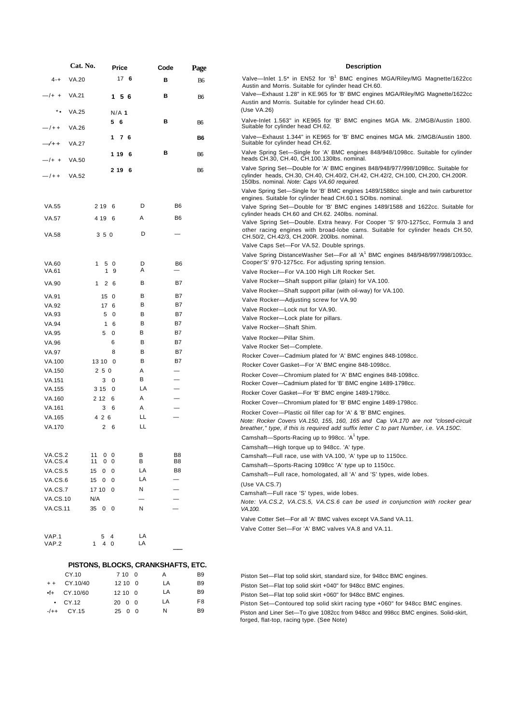|                    | Cat. No.                           |                        |                         | Price   |    |          | Code |                          | Page           |
|--------------------|------------------------------------|------------------------|-------------------------|---------|----|----------|------|--------------------------|----------------|
| $4 - +$            | <b>VA.20</b>                       |                        |                         | 176     |    |          | в    |                          | <b>B6</b>      |
| —/+ +              | <b>VA.21</b>                       |                        |                         | 1 5 6   |    |          | в    |                          | B6             |
| ٠.                 | <b>VA.25</b>                       |                        |                         | $N/A$ 1 |    |          |      |                          |                |
| $-$ /++            | <b>VA.26</b>                       |                        | 5                       | - 6     |    |          | в    |                          | B6             |
| $\rightarrow$      | <b>VA.27</b>                       |                        | 1                       | 7 6     |    |          |      |                          | B6             |
| —/+ +              | VA.50                              |                        | 1 19                    |         | 6  |          | в    |                          | B6             |
| $-$ /++            | <b>VA.52</b>                       |                        | 2 19                    |         | 6  |          |      |                          | B6             |
| VA.55              |                                    | 2 1 9                  | 6                       |         |    | D        |      | B <sub>6</sub>           |                |
| <b>VA.57</b>       |                                    | 4 1 9                  | 6                       |         |    | Α        |      | B6                       |                |
| <b>VA.58</b>       |                                    | 350                    |                         |         |    | D        |      | $\overline{\phantom{0}}$ |                |
|                    |                                    |                        |                         |         |    |          |      |                          |                |
| <b>VA.60</b>       |                                    | 1<br>5                 | $\overline{\mathbf{0}}$ |         |    | D<br>Α   |      | B6                       |                |
| VA.61              |                                    | 1                      | 9                       |         |    | в        |      | B7                       |                |
| VA.90              |                                    | 1<br>$\overline{2}$    | 6                       |         |    |          |      |                          |                |
| VA.91              |                                    | 15                     | 0                       |         |    | в<br>В   |      | B7<br>B7                 |                |
| VA.92<br>VA.93     |                                    | 17<br>5                | 6<br>0                  |         |    | в        |      | B7                       |                |
| VA.94              |                                    | $\mathbf{1}$           | 6                       |         |    | В        |      | B7                       |                |
| VA.95              |                                    | 5                      | 0                       |         |    | В        |      | B7                       |                |
| VA.96              |                                    |                        | 6                       |         |    | В        |      | B7                       |                |
| <b>VA.97</b>       |                                    |                        | 8                       |         |    | В        |      | B7                       |                |
| VA.100             |                                    | 13 10                  | $\mathbf 0$             |         |    | В        |      | B7                       |                |
| VA.150             |                                    | 250                    |                         |         |    | Α        |      | $\overline{\phantom{0}}$ |                |
| VA.151             |                                    | 3                      | 0                       |         |    | В        |      |                          |                |
| VA.155             |                                    | 3 1 5                  | 0                       |         |    | LA       |      | -                        |                |
| VA.160             |                                    | 2 1 2                  | 6                       |         |    | Α        |      |                          |                |
| VA.161             |                                    | 3                      | 6                       |         |    | Α        |      |                          |                |
| VA.165             |                                    | 4 2 6                  |                         |         |    | LL       |      | —                        |                |
| VA.170             |                                    | 2                      | 6                       |         |    | LL       |      |                          |                |
| VA.CS.2            |                                    | 11<br>0                | 0                       |         |    | В        |      | B8                       |                |
| VA.CS.4<br>VA.CS.5 |                                    | 11<br>0<br>0<br>15     | 0<br>0                  |         |    | В<br>LA  |      | B8<br>B <sub>8</sub>     |                |
| VA.CS.6            |                                    | 15<br>0                | 0                       |         |    | LA       |      |                          |                |
| VA.CS.7            |                                    | 17 10                  | 0                       |         |    | Ν        |      |                          |                |
| <b>VA.CS.10</b>    |                                    | N/A                    |                         |         |    |          |      |                          |                |
| <b>VA.CS.11</b>    |                                    | 35 0                   | 0                       |         |    | Ν        |      |                          |                |
| VAP.1<br>VAP.2     |                                    | 5<br>$\mathbf{1}$<br>4 | 4<br>0                  |         |    | LA<br>LA |      |                          |                |
|                    | PISTONS, BLOCKS, CRANKSHAFTS, ETC. |                        |                         |         |    |          |      |                          |                |
|                    | CY.10                              |                        |                         | 7 10    |    | 0        | Α    |                          | B9             |
|                    | $\sim$ 40/40                       |                        |                         |         | 10 | $\Omega$ |      |                          | D <sub>0</sub> |

# **Description** Valve—Inlet 1.5\* in EN52 for 'B<sup>1</sup> BMC engines MGA/Riley/MG Magnette/1622cc Austin and Morris. Suitable for cylinder head CH.60. Valve—Exhaust 1.28" in KE.965 for 'B' BMC engines MGA/Riley/MG Magnette/1622cc Austin and Morris. Suitable for cylinder head CH.60.

Valve-Inlet 1.563" in KE965 for 'B' BMC engines MGA Mk. 2/MGB/Austin 1800. Suitable for cylinder head CH.62.

Valve—Exhaust 1.344" in KE965 for 'B' BMC engines MGA Mk. 2/MGB/Austin 1800. Suitable for cylinder head CH.62.

Valve Spring Set—Single for 'A' BMC engines 848/948/1098cc. Suitable for cylinder heads CH.30, CH.40, CH.100.130lbs. nominal.

Valve Spring Set—Double for 'A' BMC engines 848/948/977/998/1098cc. Suitable for cylinder heads, CH.30, CH.40, CH.40/2, CH.42, CH.42/2, CH.100, CH.200, CH.200R. 150lbs. nominal. *Note: Caps VA.60 required.*

Valve Spring Set—Single for 'B' BMC engines 1489/1588cc single and twin carburettor engines. Suitable for cylinder head CH.60.1 SOIbs. nominal.

Valve Spring Set—Double for 'B' BMC engines 1489/1588 and 1622cc. Suitable for cylinder heads CH.60 and CH.62. 240lbs. nominal.

Valve Spring Set—Double. Extra heavy. For Cooper 'S' 970-1275cc, Formula 3 and other racing engines with broad-lobe cams. Suitable for cylinder heads CH.50, CH.50/2, CH.42/3, CH.200R. 200lbs. nominal.

Valve Caps Set—For VA.52. Double springs.

Valve Spring DistanceWasher Set—For all 'A<sup>1</sup> BMC engines 848/948/997/998/1093cc. Cooper'S' 970-1275cc. For adjusting spring tension.

Valve Rocker—For VA.100 High Lift Rocker Set.

- Valve Rocker—Shaft support pillar (plain) for VA.100.
- Valve Rocker—Shaft support pillar (with oil-way) for VA.100.

Valve Rocker—Adjusting screw for VA.90

- Valve Rocker—Lock nut for VA.90.
- Valve Rocker—Lock plate for pillars.

Valve Rocker—Shaft Shim. Valve Rocker—Pillar Shim.

Valve Rocker Set—Complete.

(Use VA.26)

Rocker Cover—Cadmium plated for 'A' BMC engines 848-1098cc.

Rocker Cover Gasket—For 'A' BMC engine 848-1098cc.

- Rocker Cover—Chromium plated for 'A' BMC engines 848-1098cc.
- Rocker Cover—Cadmium plated for 'B' BMC engine 1489-1798cc.
- Rocker Cover Gasket—For 'B' BMC engine 1489-1798cc.
- Rocker Cover—Chromium plated for 'B' BMC engine 1489-1798cc.

Rocker Cover—Plastic oil filler cap for 'A' & 'B' BMC engines.

*Note: Rocker Covers VA.150, 155, 160, 165 and* Cap *VA.170 are not "closed-circuit breather," type, if this is required add suffix letter C to part Number, i.e. VA.150C.*

- Camshaft—Sports-Racing up to 998cc. 'A $^1$  type.
- Camshaft—High torque up to 948cc. 'A' type.

Camshaft—Full race, use with VA.100, 'A' type up to 1150cc.

Camshaft—Sports-Racing 1098cc 'A' type up to 1150cc.

Camshaft—Full race, homologated, all 'A' and 'S' types, wide lobes.

(Use VA.CS.7)

Camshaft—Full race 'S' types, wide lobes.

*Note: VA.CS.2, VA.CS.5, VA.CS.6 can be used in conjunction with rocker gear VA.100.*

Valve Cotter Set—For all 'A' BMC valves except VA.Sand VA.11.

Valve Cotter Set—For 'A' BMC valves VA.8 and VA.11.

|                 |        | PISTONS, BLOCKS, CRANKSHAFTS, ETC. |    |
|-----------------|--------|------------------------------------|----|
| CY.10           | 7100   | А                                  | B9 |
| + + CY.10/40    | 12100  | LA                                 | B9 |
| $•f+$ CY.10/60  | 12100  | LA                                 | B9 |
| $\bullet$ CY.12 | 20 0 0 | LA                                 | F8 |

-/++ CY.15 25 0 0 N B9

Piston Set—Flat top solid skirt, standard size, for 948cc BMC engines.

Piston Set—Flat top solid skirt +040" for 948cc BMC engines.

Piston Set—Flat top solid skirt +060" for 948cc BMC engines.

Piston Set—Contoured top solid skirt racing type +060" for 948cc BMC engines.

Piston and Liner Set—To give 1082cc from 948cc and 998cc BMC engines. Solid-skirt, forged, flat-top, racing type. (See Note)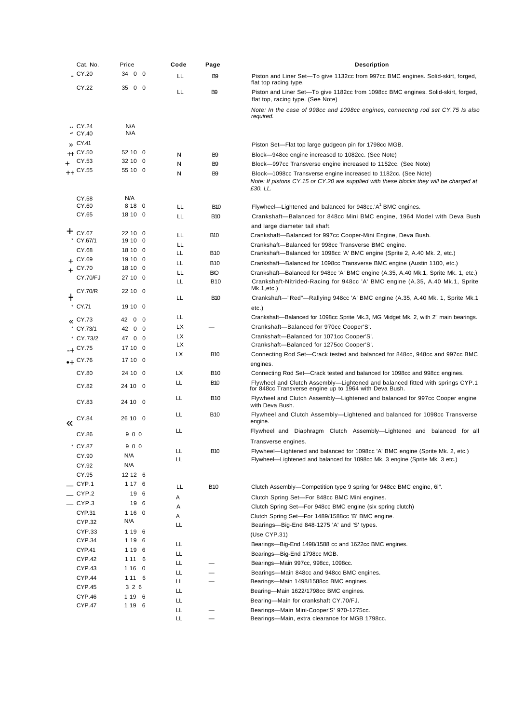|   | Cat. No.                  | Price              | Code      | Page                 | <b>Description</b>                                                                                                                      |
|---|---------------------------|--------------------|-----------|----------------------|-----------------------------------------------------------------------------------------------------------------------------------------|
|   | CY.20                     | 34 0 0             | LL        | B <sub>9</sub>       | Piston and Liner Set-To give 1132cc from 997cc BMC engines. Solid-skirt, forged,<br>flat top racing type.                               |
|   | CY.22                     | $0\quad 0$<br>35   | LL        | B <sub>9</sub>       | Piston and Liner Set-To give 1182cc from 1098cc BMC engines. Solid-skirt, forged,<br>flat top, racing type. (See Note)                  |
|   |                           |                    |           |                      | Note: In the case of 998cc and 1098cc engines, connecting rod set CY.75 Is also<br>required.                                            |
|   | ** CY.24<br>$\cdot$ CY.40 | N/A<br>N/A         |           |                      |                                                                                                                                         |
|   | » CY.41                   |                    |           |                      |                                                                                                                                         |
|   | ++ CY.50                  | 52 10 0            |           |                      | Piston Set—Flat top large gudgeon pin for 1798cc MGB.                                                                                   |
|   | CY.53                     | 32 10 0            | N         | B <sub>9</sub>       | Block-948cc engine increased to 1082cc. (See Note)                                                                                      |
|   | ++ CY.55                  | 55 10 0            | N<br>N    | B9<br>B <sub>9</sub> | Block-997cc Transverse engine increased to 1152cc. (See Note)<br>Block-1098cc Transverse engine increased to 1182cc. (See Note)         |
|   |                           |                    |           |                      | Note: If pistons CY.15 or CY.20 are supplied with these blocks they will be charged at<br>£30. LL.                                      |
|   | CY.58                     | N/A                |           |                      |                                                                                                                                         |
|   | CY.60                     | 818 0              | LL        | <b>B10</b>           | Flywheel-Lightened and balanced for 948cc.'A <sup>1</sup> BMC engines.                                                                  |
|   | CY.65                     | 18 10 0            | LL        | <b>B10</b>           | Crankshaft-Balanced for 848cc Mini BMC engine, 1964 Model with Deva Bush<br>and large diameter tail shaft.                              |
|   | $+$ CY.67                 | 22 10 0            | LL        | <b>B10</b>           | Crankshaft-Balanced for 997cc Cooper-Mini Engine, Deva Bush.                                                                            |
|   | CY.67/1                   | 19 10 0            | LL        |                      | Crankshaft-Balanced for 998cc Transverse BMC engine.                                                                                    |
|   | CY.68<br>$+$ CY.69        | 18 10 0<br>19 10 0 | LL        | <b>B10</b>           | Crankshaft-Balanced for 1098cc 'A' BMC engine (Sprite 2, A.40 Mk. 2, etc.)                                                              |
|   | CY.70                     | 18 10 0            | LL        | <b>B10</b>           | Crankshaft-Balanced for 1098cc Transverse BMC engine (Austin 1100, etc.)                                                                |
|   | <b>CY.70/FJ</b>           | 27 10 0            | LL        | <b>BIO</b>           | Crankshaft—Balanced for 948cc 'A' BMC engine (A.35, A.40 Mk.1, Sprite Mk. 1, etc.)                                                      |
|   | CY.70/R                   | 22 10 0            | LL        | <b>B10</b>           | Crankshaft-Nitrided-Racing for 948cc 'A' BMC engine (A.35, A.40 Mk.1, Sprite<br>Mk.1, etc.)                                             |
| ┿ |                           |                    | LL        | <b>B10</b>           | Crankshaft—"Red"—Rallying 948cc 'A' BMC engine (A.35, A.40 Mk. 1, Sprite Mk.1                                                           |
|   | $^*$ CY.71                | 19 10 0            |           |                      | etc.)                                                                                                                                   |
|   | $\alpha$ CY.73            | 42 0 0             | LL        |                      | Crankshaft—Balanced for 1098cc Sprite Mk.3, MG Midget Mk. 2, with 2" main bearings.                                                     |
|   | CY.73/1                   | 42 0 0             | LХ<br>LX. |                      | Crankshaft-Balanced for 970cc Cooper'S'.                                                                                                |
|   | * CY.73/2                 | 47 0 0             | LХ        |                      | Crankshaft-Balanced for 1071cc Cooper'S'.<br>Crankshaft-Balanced for 1275cc Cooper'S'.                                                  |
|   | $-4$ CY.75                | 17 10 0            | LХ        | <b>B10</b>           | Connecting Rod Set—Crack tested and balanced for 848cc, 948cc and 997cc BMC                                                             |
|   | $+$ CY.76                 | 17 10 0            |           |                      | engines.                                                                                                                                |
|   | CY.80                     | 24 10 0            | <b>LX</b> | <b>B10</b>           | Connecting Rod Set—Crack tested and balanced for 1098cc and 998cc engines.                                                              |
|   | CY.82                     | 24 10 0            | LL        | <b>B10</b>           | Flywheel and Clutch Assembly—Lightened and balanced fitted with springs CYP.1<br>for 848cc Transverse engine up to 1964 with Deva Bush. |
|   | CY.83                     | 24 10 0            | LL        | <b>B10</b>           | Flywheel and Clutch Assembly-Lightened and balanced for 997cc Cooper engine<br>with Deva Bush.                                          |
| « | CY.84                     | 26 10 0            | LL        | <b>B10</b>           | Flywheel and Clutch Assembly-Lightened and balanced for 1098cc Transverse<br>engine.                                                    |
|   | CY.86                     | 900                | LL        |                      | Flywheel and Diaphragm Clutch Assembly—Lightened and balanced for all<br>Transverse engines.                                            |
|   | CY.87                     | 900                | LL.       | <b>B10</b>           | Flywheel—Lightened and balanced for 1098cc 'A' BMC engine (Sprite Mk. 2, etc.)                                                          |
|   | CY.90                     | N/A                | LL.       |                      | Flywheel—Lightened and balanced for 1098cc Mk. 3 engine (Sprite Mk. 3 etc.)                                                             |
|   | CY.92                     | N/A                |           |                      |                                                                                                                                         |
|   | CY.95                     | 12 12 6            |           |                      |                                                                                                                                         |
|   | _ CYP.1                   | 1 17 6             | ᄔ         | <b>B10</b>           | Clutch Assembly-Competition type 9 spring for 948cc BMC engine, 6i".                                                                    |
|   | $\_$ CYP.2                | 19 6               | Α         |                      | Clutch Spring Set-For 848cc BMC Mini engines.                                                                                           |
|   | $\_$ CYP.3                | 19 6               | Α         |                      | Clutch Spring Set-For 948cc BMC engine (six spring clutch)                                                                              |
|   | CYP.31                    | 1160<br>N/A        | Α         |                      | Clutch Spring Set-For 1489/1588cc 'B' BMC engine.                                                                                       |
|   | CYP.32<br>CYP.33          |                    | ᄔ         |                      | Bearings-Big-End 848-1275 'A' and 'S' types.                                                                                            |
|   | CYP.34                    | 1 19 6<br>1 19 6   |           |                      | (Use CYP.31)                                                                                                                            |
|   | <b>CYP.41</b>             | 1 19 6             | LL        |                      | Bearings-Big-End 1498/1588 cc and 1622cc BMC engines.                                                                                   |
|   | CYP.42                    | 1 11 6             | LL.       |                      | Bearings-Big-End 1798cc MGB.                                                                                                            |
|   | CYP.43                    | 1160               | LL.       |                      | Bearings-Main 997cc, 998cc, 1098cc.                                                                                                     |
|   | <b>CYP.44</b>             | 1 11 6             | LL.       |                      | Bearings-Main 848cc and 948cc BMC engines.                                                                                              |
|   | <b>CYP.45</b>             | 3 2 6              | LL.       |                      | Bearings—Main 1498/1588cc BMC engines.                                                                                                  |
|   | CYP.46                    | 1 19 6             | LL        |                      | Bearing-Main 1622/1798cc BMC engines.                                                                                                   |
|   | CYP.47                    | 1 19 6             | LL        |                      | Bearing-Main for crankshaft CY.70/FJ.<br>Bearings-Main Mini-Cooper'S' 970-1275cc.                                                       |
|   |                           |                    | LL<br>LL  |                      | Bearings-Main, extra clearance for MGB 1798cc.                                                                                          |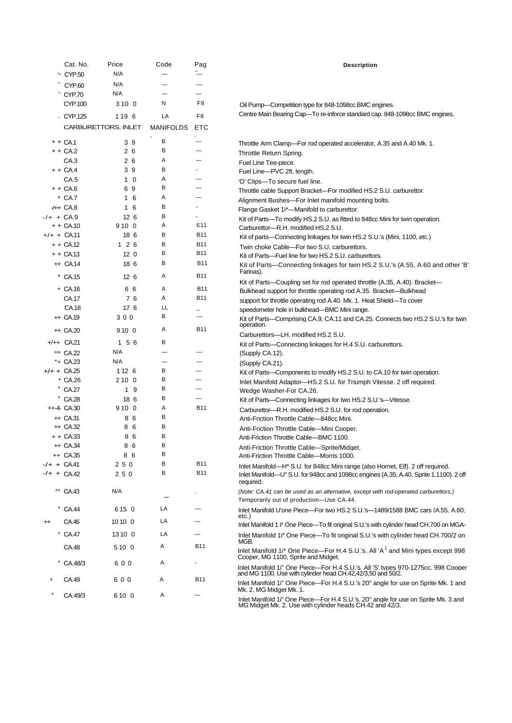|               | Cat. No.                | Price               | Code                     | Pag                      | <b>Description</b>                                                                                                                               |
|---------------|-------------------------|---------------------|--------------------------|--------------------------|--------------------------------------------------------------------------------------------------------------------------------------------------|
|               | ** CYP.50               | N/A                 |                          |                          |                                                                                                                                                  |
|               | CYP.60                  | N/A                 |                          |                          |                                                                                                                                                  |
|               | CYP.70                  | N/A                 | —                        | $\overline{\phantom{0}}$ |                                                                                                                                                  |
|               | CYP.100                 | 3100                | N                        | F8                       | Oil Pump-Competition type for 848-1098cc BMC engines.                                                                                            |
|               | $-$ CYP.125             | 119 6               | LA                       | F8                       | Centre Main Bearing Cap-To re-inforce standard cap. 848-1098cc BMC engines.                                                                      |
|               |                         |                     |                          |                          |                                                                                                                                                  |
|               |                         | CARBURETTORS, INLET | <b>MANIFOLDS</b>         | <b>ETC</b>               |                                                                                                                                                  |
|               | $++CA.1$                | 39                  | В                        |                          | Throttle Arm Clamp—For rod operated accelerator, A.35 and A.40 Mk. 1.                                                                            |
|               | $++CA.2$                | 26                  | в                        | —                        | Throttle Return Spring.                                                                                                                          |
|               | CA.3                    | 26                  | Α                        |                          | Fuel Line Tee-piece.                                                                                                                             |
|               | $++CA.4$                | 39                  | в                        |                          | Fuel Line-PVC 2ft. length.                                                                                                                       |
|               | CA.5                    | $1\quad0$           | Α                        |                          | 'O' Clips-To secure fuel line.                                                                                                                   |
|               | $++CA.6$                | 69                  | В                        |                          | Throttle cable Support Bracket-For modified HS.2 S.U. carburettor.                                                                               |
|               | + CA.7                  | $1\overline{6}$     | Α                        | -                        | Alignment Bushes-For Inlet manifold mounting bolts.                                                                                              |
|               | $+$ CA.8                | $1\overline{6}$     | в                        |                          | Flange Gasket 1i*-Manifold to carburettor.                                                                                                       |
| $-/- + C A.9$ |                         | 126                 | в                        | $\blacksquare$           | Kit of Parts—To modify HS.2 S.U. as fitted to 848cc Mini for twin operation.                                                                     |
|               | $++CA.10$               | 910 0               | Α                        | E <sub>11</sub>          | Carburettor-R.H. modified HS.2 S.U.                                                                                                              |
|               | $+/+ + CA.11$           | 18 6                | В                        | <b>B11</b>               | Kit of parts-Connecting linkages for twin HS.2 S.U.'s (Mini, 1100, etc.)                                                                         |
|               | $++CA.12$               | $1\quad 2\quad 6$   | В                        | <b>B11</b>               | Twin choke Cable-For two S.U. carburettors.                                                                                                      |
|               | $++CA13$                | 12 <sub>0</sub>     | В                        | <b>B11</b>               | Kit of Parts--Fuel line for two HS.2 S.U. carburettors.                                                                                          |
|               | $\leftrightarrow$ CA.14 | 18 6                | В                        | <b>B11</b>               | Kit of Parts-Connecting linkages for twin HS.2 S.U.'s (A.55, A.60 and other 'B'<br>Farinas).                                                     |
|               | + CA.15                 | 12 <sub>6</sub>     | Α                        | <b>B11</b>               | Kit of Parts—Coupling set for rod operated throttle (A.35, A.40). Bracket—                                                                       |
|               | + CA.16                 | 66                  | Α                        | <b>B11</b>               | Bulkhead support for throttle operating rod A.35. Bracket-Bulkhead                                                                               |
|               | CA.17                   | 76                  | Α                        | <b>B11</b>               | support for throttle operating rod A.40. Mk. 1. Heat Shield-To cover                                                                             |
|               | CA.18                   | 176                 | LL                       |                          | speedometer hole in bulkhead-BMC Mini range.                                                                                                     |
|               | $+$ CA.19               | 300                 | В                        |                          | Kit of Parts—Comprising CA.9, CA.11 and CA.25. Connects two HS.2 S.U.'s for twin                                                                 |
|               | $\leftrightarrow$ CA.20 | 910 0               | Α                        | <b>B11</b>               | operation.                                                                                                                                       |
|               | $+/++$ CA.21            | 1 5 6               | в                        |                          | Carburettors-LH. modified HS.2 S.U.                                                                                                              |
|               | » CA.22                 | N/A                 | $\overline{\phantom{0}}$ | -                        | Kit of Parts—Connecting linkages for H.4 S.U. carburettors.                                                                                      |
|               | *» CA.23                | N/A                 | $\overline{\phantom{0}}$ |                          | (Supply CA.12).                                                                                                                                  |
|               | $+/- + C A.25$          | 112 6               | в                        |                          | (Supply CA.21).<br>Kit of Parts—Components to modify HS.2 S.U. to CA.10 for twin operation.                                                      |
|               | $\cdot$ CA.26           | 2100                | В                        |                          | Inlet Manifold Adaptor-HS.2 S.U. for Triumph Vitesse. 2 off required.                                                                            |
|               | * CA.27                 | 1 9                 | В                        | $\overline{\phantom{0}}$ | Wedge Washer-For CA.26.                                                                                                                          |
|               | * CA.28                 | 18 6                | В                        | $\overline{\phantom{0}}$ | Kit of Parts-Connecting linkages for two HS.2 S.U.'s-Vitesse.                                                                                    |
|               | $++-4$ CA.30            | 910 0               | Α                        | <b>B11</b>               | Carburettor-R.H. modified HS.2 S.U. for rod operation.                                                                                           |
|               | $+$ CA.31               | 86                  | В                        |                          | Anti-Friction Throttle Cable-848cc Mini.                                                                                                         |
|               | $+$ CA.32               | 86                  | в                        |                          | Anti-Friction Throttle Cable-Mini Cooper.                                                                                                        |
|               | $++CA.33$               | 86                  | в                        |                          | Anti-Friction Throttle Cable-BMC 1100.                                                                                                           |
|               | ++ CA.34                | 8 6                 | <sub>R</sub>             |                          | Anti-Friction Throttle Cable-Sprite/Midget.                                                                                                      |
|               | ++ CA.35                | 86                  | В                        |                          | Anti-Friction Throttle Cable—Morris 1000.                                                                                                        |
| -/+ + CA41    |                         | 250                 | в                        | <b>B11</b>               | Inlet Manifold—H <sup>*</sup> S.U. for 848cc Mini range (also Hornet, Elf). 2 off required.                                                      |
|               | -/+ + CA.42             | 250                 | В                        | <b>B11</b>               | Inlet Manifold—U" S.U. for 948cc and 1098cc engines (A.35, A.40, Sprite 1,1100). 2 off<br>required.                                              |
|               | ** CA.43                | N/A                 |                          |                          | (Note: CA.41 can be used as an alternative, except with rod-operated carburettors.)<br>Temporarily out of production-Use CA.44.                  |
|               | CA.44                   | 615 0               | LA                       |                          | Inlet Manifold U'one Piece-For two HS.2 S.U.'s-1489/1588 BMC cars (A.55, A.60,<br>etc.)                                                          |
|               | CA.46                   | 10100               | LA                       |                          | Inlet Manifold 1 i* One Piece—To fit original S.U.'s with cylinder head CH.700 on MGA-                                                           |
|               | * CA.47                 | 13 10 0             | LA                       |                          | Inlet Manifold 1 <sup>*</sup> One Piece—To fit original S.U.'s with cylinder head CH.700/2 on<br>MGB.                                            |
|               | CA.48                   | 510 0               | A                        | <b>B11</b>               | Inlet Manifold 1i* One Piece-For H.4 S.U.'s. All 'A <sup>1</sup> and Mini types except 998<br>Cooper, MG 1100, Sprite and Midget.                |
|               | CA.48/3                 | 600                 | Α                        |                          | Inlet Manifold 1i" One Piece-For H.4 S.U.'s. All 'S' types 970-1275cc, 998 Cooper<br>and MG 1100. Use with cylinder head CH.42,42/3,50 and 50/2. |
|               | CA.49                   | 600                 | Α                        | B11                      | Inlet Manifold 1i" One Piece—For H.4 S.U.'s 20° angle for use on Sprite Mk. 1 and<br>Mk. 2. MG Midget Mk. 1.                                     |
|               | CA.49/3                 | 610 0               | Α                        |                          | Inlet Manifold 1i" One Piece-For H.4 S.U.'s. 20° angle for use on Sprite Mk. 3 and<br>MG Midget Mk. 2. Use with cylinder heads CH.42 and 42/3.   |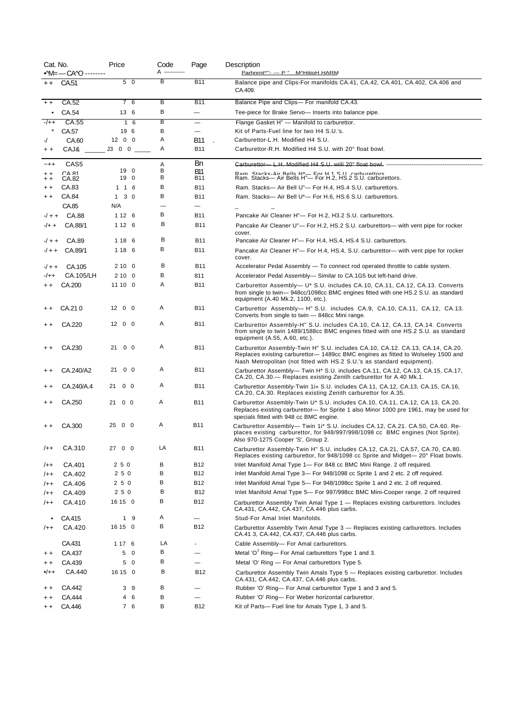| Cat. No.        | • M= - CAYO --------  | Price               | Code<br>A ------------ | Page                            | Description<br>Parhnrnt*"'- - P " M^HitioH HARM                                                                                                                                                                                            |
|-----------------|-----------------------|---------------------|------------------------|---------------------------------|--------------------------------------------------------------------------------------------------------------------------------------------------------------------------------------------------------------------------------------------|
| $+ +$           | CA.51                 | 5 0                 | В                      | <b>B11</b>                      | Balance pipe and Clips-For manifolds CA.41, CA.42, CA.401, CA.402, CA.406 and<br>CA.409.                                                                                                                                                   |
| $+ +$           | CA.52                 | 7 6                 | В                      | <b>B11</b>                      | Balance Pipe and Clips— For manifold CA.43.                                                                                                                                                                                                |
| $\bullet$       | CA.54                 | 13 6                | в                      | $\overline{\phantom{0}}$        | Tee-piece for Brake Servo- Inserts into balance pipe.                                                                                                                                                                                      |
| $-/++$          | CA.55                 | 16                  | B                      | $\qquad \qquad$                 | Flange Gasket H" - Manifold to carburettor.                                                                                                                                                                                                |
|                 | CA.57                 | 19 6                | В                      | $\overbrace{\phantom{1232211}}$ | Kit of Parts-Fuel line for two H4 S.U.'s.                                                                                                                                                                                                  |
| $-1$            | CA.60                 | 1200                | A                      | B11                             | Carburettor-L.H. Modified H4 S.U.                                                                                                                                                                                                          |
| $+ +$           | CAJ&                  |                     | A                      | <b>B11</b>                      | Carburettor-R.H. Modified H4 S.U. with 20° float bowl.                                                                                                                                                                                     |
| $-++$           | CAS <sub>5</sub>      |                     | Α                      | Bn                              | Carburettor L H Modified H4 S LL wiili 20" float bowl ----------------------                                                                                                                                                               |
| $+ +$           | $C\Delta$ 81<br>CA.82 | 19 0<br>19 0        | в<br>В                 | <b>B11</b><br><b>B11</b>        | Ram Stacks-Air Ralls H*- For H 1 S II carburattors<br>Ram. Stacks- Air Bells H"- For H.2, HS.2 S.U. carburettors.                                                                                                                          |
| $+ +$<br>$+ +$  | CA.83                 | 1 1 6               | в                      | <b>B11</b>                      | Ram. Stacks-Air Bell U"- For H.4, HS.4 S.U. carburettors.                                                                                                                                                                                  |
| $+ +$           | CA.84                 | $1 \quad 3 \quad 0$ | в                      | <b>B11</b>                      | Ram. Stacks- Air Bell U*- For H.6, HS.6 S.U. carburettors.                                                                                                                                                                                 |
|                 | CA.85                 | N/A                 |                        | $\overline{\phantom{0}}$        |                                                                                                                                                                                                                                            |
| $-/- +$         | CA.88                 | 1 1 2 6             | в                      | <b>B11</b>                      | Pancake Air Cleaner H"- For H.2, H3.2 S.U. carburettors.                                                                                                                                                                                   |
| $-/+ +$         | CA.88/1               | 1 1 2 6             | В                      | <b>B11</b>                      | Pancake Air Cleaner U"- For H.2, HS.2 S.U. carburettors- with vent pipe for rocker                                                                                                                                                         |
|                 |                       |                     |                        |                                 | cover.                                                                                                                                                                                                                                     |
| $-/- +$         | CA.89                 | 1 18 6              | в                      | <b>B11</b>                      | Pancake Air Cleaner H"- For H.4, HS.4, HS.4 S.U. carburettors.                                                                                                                                                                             |
| $-/- +$         | CA.89/1               | 1 18 6              | В                      | <b>B11</b>                      | Pancake Air Cleaner H"- For H.4, HS.4, S.U. carburettor- with vent pipe for rocker<br>cover.                                                                                                                                               |
| $-/- +$         | CA.105                | 2100                | в                      | <b>B11</b>                      | Accelerator Pedal Assembly - To connect rod operated throttle to cable system.                                                                                                                                                             |
| $-/++$          | CA.105/LH             | 2100                | в                      | 811                             | Accelerator Pedal Assembly-Similar to CA.1G5 but left-hand drive.                                                                                                                                                                          |
| $+ +$           | CA.200                | 11100               | Α                      | <b>B11</b>                      | Carburettor Assembly— U* S.U. includes CA.10, CA.11, CA.12, CA.13. Converts<br>from single to twin-948cc/1098cc BMC engines fitted with one HS.2 S.U. as standard<br>equipment (A.40 Mk.2, 1100, etc.).                                    |
|                 | CA.210                | 1200                | Α                      | <b>B11</b>                      | Carburettor Assembly-H" S.U. includes CA.9, CA.10, CA.11, CA.12, CA.13.<br>Converts from single to twin - 848cc Mini range.                                                                                                                |
| $+ +$           | CA.220                | 1200                | Α                      | <b>B11</b>                      | Carburettor Assembly-H" S.U. includes CA.10, CA.12, CA.13, CA.14. Converts<br>from single to twin 1489/1588cc BMC engines fitted with one HS.2 S.U. as standard<br>equipment (A.55, A.60, etc.).                                           |
| $+ +$           | CA.230                | 21 0 0              | Α                      | <b>B11</b>                      | Carburettor Assembly-Twin H" S.U. includes CA.10, CA.12. CA.13, CA.14, CA.20.<br>Replaces existing carburettor-1489cc BMC engines as fitted to Wolseley 1500 and<br>Nash Metropolitan (not fitted with HS.2 S.U.'s as standard equipment). |
|                 | CA.240/A2             | $0\quad 0$<br>21    | Α                      | <b>B11</b>                      | Carburettor Assembly— Twin H <sup>*</sup> S.U. includes CA.11, CA.12, CA.13, CA.15, CA.17,<br>CA.20, CA.30. - Replaces existing Zenith carburettor for A.40 Mk.1.                                                                          |
| $^{\mathrm{+}}$ | CA.240/A.4            | 21 0 0              | Α                      | <b>B11</b>                      | Carburettor Assembly-Twin 1i» S.U. includes CA.11, CA.12, CA.13, CA.15, CA.16,<br>CA.20, CA.30. Replaces existing Zenith carburettor for A.35.                                                                                             |
| $^{\mathrm{+}}$ | CA.250                | $21 \t 0 \t 0$      | Α                      | <b>B11</b>                      | Carburettor Assembly-Twin U* S.U. includes CA.10, CA.11, CA.12, CA.13, CA.20.<br>Replaces existing carburettor- for Sprite 1 also Minor 1000 pre 1961, may be used for<br>specials fitted with 948 cc BMC engine.                          |
|                 | CA.300                | 25 0 0              | Α                      | <b>B11</b>                      | Carburettor Assembly— Twin 1i* S.U. includes CA.12, CA.21. CA.50, CA.60. Re-<br>places existing carburettor, for 948/997/998/1098 cc BMC engines (Not Sprite).<br>Also 970-1275 Cooper 'S', Group 2.                                       |
| $/++$           | CA.310                | 27 0 0              | LA                     | <b>B11</b>                      | Carburettor Assembly-Twin H" S.U. includes CA.12, CA.21, CA.57, CA.70, CA.80.<br>Replaces existing carburettor, for 948/1098 cc Sprite and Midget—20° Float bowls.                                                                         |
| $/++$           | CA.401                | 250                 | В                      | B12                             | Inlet Manifold Amal Type 1— For 848 cc BMC Mini Range. 2 off required.                                                                                                                                                                     |
| $/++$           | CA.402                | 250                 | В                      | <b>B12</b>                      | Inlet Manifold Amal Type 3— For 948/1098 cc Sprite 1 and 2 etc. 2 off required.                                                                                                                                                            |
| $/++$           | CA.406                | 250                 | В                      | B12                             | Inlet Manifold Amal Type 5- For 948/1098cc Sprite 1 and 2 etc. 2 off required.                                                                                                                                                             |
| $/++$           | CA.409                | 250                 | в                      | <b>B12</b>                      | Inlet Manifold Amal Type 5- For 997/998cc BMC Mini-Cooper range. 2 off required                                                                                                                                                            |
| /++             | CA.410                | 16 15 0             | В                      | <b>B12</b>                      | Carburettor Assembly Twin Amal Type 1 - Replaces existing carburettors. Includes<br>CA.431, CA.442, CA.437, CA.446 plus carbs.                                                                                                             |
| $\bullet$       | CA.415                | 1 9                 | Α                      |                                 | Stud-For Amal Inlet Manifolds.                                                                                                                                                                                                             |
| $/++$           | CA.420                | 16 15 0             | в                      | B12                             | Carburettor Assembly Twin Amal Type 3 - Replaces existing carburettors. Includes<br>CA.41 3, CA.442, CA.437, CA.446 plus carbs.                                                                                                            |
|                 | CA.431                | 1 17 6              | LA                     |                                 | Cable Assembly- For Amal carburettors.                                                                                                                                                                                                     |
| $+ +$           | CA.437                | 5 0                 | в                      | —                               | Metal 'O' Ring— For Amal carburettors Type 1 and 3.                                                                                                                                                                                        |
| $+ +$           | CA.439                | 5 0                 | в                      | $\qquad \qquad$                 | Metal 'O' Ring - For Amal carburettors Type 5.                                                                                                                                                                                             |
| $+ +$           | CA.440                | 16 15 0             | в                      | B12                             | Carburettor Assembly Twin Amals Type 5 - Replaces existing carburettor. Includes<br>CA.431, CA.442, CA.437, CA.446 plus carbs.                                                                                                             |
| $^{\mathrm{+}}$ | CA.442                | 39                  | В                      |                                 | Rubber 'O' Ring— For Amal carburettor Type 1 and 3 and 5.                                                                                                                                                                                  |
| $+ +$           | CA.444                | 46                  | В                      | —                               | Rubber 'O' Ring- For Weber horizontal carburettor.                                                                                                                                                                                         |
| $+ +$           | CA.446                | 7 6                 | в                      | <b>B12</b>                      | Kit of Parts— Fuel line for Amals Type 1, 3 and 5.                                                                                                                                                                                         |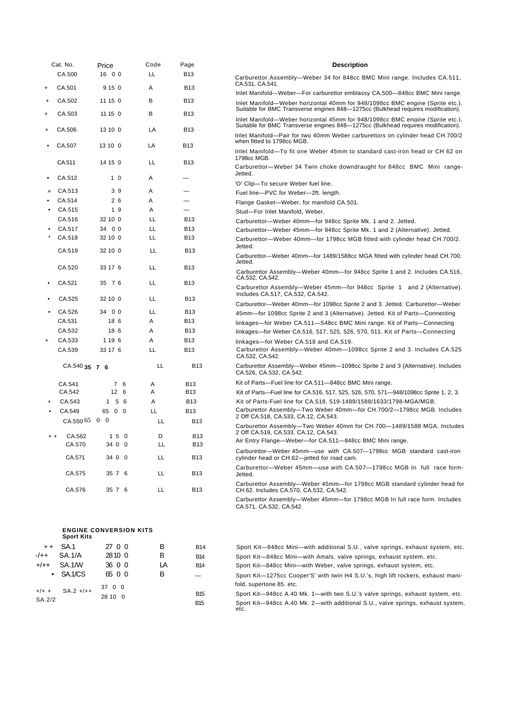|                                  | Cat. No.          | Price                         | Code | Page                     | <b>Description</b>                                                                                                                                                |
|----------------------------------|-------------------|-------------------------------|------|--------------------------|-------------------------------------------------------------------------------------------------------------------------------------------------------------------|
|                                  | CA.500            | 16 0 0                        | LL   | <b>B13</b>               | Carburettor Assembly-Weber 34 for 848cc BMC Mini range. Includes CA.511,                                                                                          |
| $\ddot{}$                        | CA.501            | 9 15 0                        | Α    | <b>B13</b>               | CA.531, CA.541.<br>Inlet Manifold-Weber-For carburettor emblassy CA.500-848cc BMC Mini range.                                                                     |
| +                                | CA.502            | 11150                         | В    | B13                      | Inlet Manifold—Weber horizontal 40mm for 948/1098cc BMC engine (Sprite etc.).                                                                                     |
| $\ddot{}$                        | CA.503            | 11 15 0                       | В    | <b>B13</b>               | Suitable for BMC Transverse engines 848-1275cc (Bulkhead requires modification).<br>Inlet Manifold—Weber horizontal 45mm for 948/1098cc BMC engine (Sprite etc.). |
|                                  | CA.506            | 13 10 0                       | LA   | <b>B13</b>               | Suitable for BMC Transverse engines 848—1275cc (Bulkhead requires modification).<br>Inlet Manifold—Pair for two 40mm Weber carburettors on cylinder head CH.700/2 |
|                                  | CA.507            | 13 10 0                       | LA   | <b>B13</b>               | when fitted to 1798cc MGB.                                                                                                                                        |
|                                  | CA.511            | 14 15 0                       | LL   | <b>B13</b>               | Inlet Manifold—To fit one Weber 45mm to standard cast-iron head or CH 62 on<br>1798cc MGB.                                                                        |
|                                  | CA.512            | 1 <sub>0</sub>                | Α    | —                        | Carburettor—Weber 34 Twin choke downdraught for 848cc BMC Mini range-<br>Jetted.                                                                                  |
|                                  |                   |                               |      |                          | 'O' Clip-To secure Weber fuel line.                                                                                                                               |
|                                  | CA.513            | 39                            | Α    |                          | Fuel line-PVC for Weber-2ft. length.                                                                                                                              |
|                                  | CA.514            | 26                            | Α    | $\overline{\phantom{0}}$ | Flange Gasket-Weber, for manifold CA.501.                                                                                                                         |
|                                  | CA.515            | 19                            | Α    | $\overline{\phantom{0}}$ | Stud-For Inlet Manifold, Weber.                                                                                                                                   |
|                                  | CA.516            | 32 10 0                       | LL   | <b>B13</b>               | Carburettor-Weber 40mm-for 948cc Sprite Mk. 1 and 2. Jetted.                                                                                                      |
|                                  | CA.517            | 34 0 0                        | LL   | <b>B13</b>               | Carburettor—Weber 45mm—for 948cc Sprite Mk. 1 and 2 (Alternative). Jetted.                                                                                        |
|                                  | CA.518            | 32 10 0                       | LL   | <b>B13</b>               | Carburettor—Weber 40mm—for 1798cc MGB fitted with cylinder head CH.700/2.<br>Jetted.                                                                              |
|                                  | CA.519            | 32 10 0                       | LL   | <b>B13</b>               | Carburettor—Weber 40mm—for 1489/1588cc MGA fitted with cylinder head CH.700.<br>Jetted.                                                                           |
|                                  | CA.520            | 33 17 6                       | LL   | <b>B13</b>               | Carburettor Assembly—Weber 40mm—for 948cc Sprite 1 and 2. Includes CA.516,<br>CA.532, CA.542.                                                                     |
|                                  | CA.521            | 35 7 6                        | LL   | <b>B13</b>               | Carburettor Assembly—Weber 45mm—for 948cc Sprite 1 and 2 (Alternative).<br>Includes CA.517, CA.532, CA.542.                                                       |
|                                  | CA.525            | 32 10 0                       | LL   | <b>B13</b>               | Carburettor-Weber 40mm-for 1098cc Sprite 2 and 3. Jetted. Carburettor-Weber                                                                                       |
|                                  | CA.526            | 34 0 0                        | LL   | <b>B13</b>               | 45mm-for 1098cc Sprite 2 and 3 (Alternative). Jetted. Kit of Parts-Connecting                                                                                     |
|                                  | CA.531            | 18 6                          | A    | <b>B13</b>               | linkages—for Weber CA.511—S48cc BMC Mini range. Kit of Parts—Connecting                                                                                           |
|                                  | CA.532            | 18 6                          | Α    | <b>B13</b>               | linkages—for Weber CA.516, 517, 525, 526, 570, 511. Kit of Parts—Connecting                                                                                       |
| $\begin{array}{c} + \end{array}$ | CA.533            | 1 19 6                        | A    | <b>B13</b>               | linkages-for Weber CA.518 and CA.519.                                                                                                                             |
|                                  | CA.539            | 33 17 6                       | LL   | <b>B13</b>               | Carburettor Assembly-Weber 40mm-1098cc Sprite 2 and 3. Includes CA.525<br>CA.532, CA.542.                                                                         |
|                                  | CA.540 35 7 6     |                               | LL   | <b>B13</b>               | Carburettor Assembly—Weber 45mm—1098cc Sprite 2 and 3 (Alternative). Includes<br>CA.526, CA.532, CA.542.                                                          |
|                                  | CA.541            | 7 6                           | Α    | <b>B13</b>               | Kit of Parts—Fuel line for CA.511—848cc BMC Mini range.                                                                                                           |
|                                  | CA.542            | 12 <sub>6</sub>               | Α    | <b>B13</b>               | Kit of Parts—Fuel line for CA.516, 517, 525, 526, 570, 571—948/1098cc Sprite 1, 2, 3.                                                                             |
|                                  | CA.543            | 56<br>1                       | Α    | <b>B13</b>               | Kit of Parts-Fuel line for CA.518, 519-1489/1588/1633/1798-MGA/MGB.                                                                                               |
|                                  | CA.549            | 65 0 0                        | LL   | <b>B13</b>               | Carburettor Assembly-Two Weber 40mm-for CH.700/2-1798cc MGB. Includes                                                                                             |
|                                  | CA.550 65 0 0     |                               | LL   | <b>B13</b>               | 2 Off CA.518, CA.533, CA.12, CA.543.<br>Carburettor Assembly-Two Weber 40mm for CH.700-1489/1588 MGA. Includes                                                    |
| $+ +$                            | CA.562            | 150                           | D    | <b>B13</b>               | 2 Off CA.519, CA.533, CA.12, CA.543.                                                                                                                              |
|                                  | CA.570            | 34 0 0                        | LL   | B13                      | Air Entry Flange-Weber-for CA.511-848cc BMC Mini range.                                                                                                           |
|                                  | CA.571            | 34 0 0                        | LL   | <b>B13</b>               | Carburettor-Weber 45mm-use with CA.507-1798cc MGB standard cast-iron<br>cylinder head or CH.62-jetted for road cam.                                               |
|                                  | CA.575            | 35 7 6                        | LL   | B13                      | Carburettor-Weber 45mm-use with CA.507-1798cc MGB In full race form-<br>Jetted.                                                                                   |
|                                  | CA.576            | 35 7 6                        | LL   | B13                      | Carburettor Assembly—Weber 45mm—for 1798cc MGB standard cylinder head for<br>CH.62. Includes CA.570, CA.532, CA.542.                                              |
|                                  |                   |                               |      |                          | Carburettor Assembly-Weber 45mm-for 1798cc MGB In full race form. Includes<br>CA.571, CA.532, CA.542.                                                             |
|                                  | <b>Sport Kits</b> | <b>ENGINE CONVERSION KITS</b> |      |                          |                                                                                                                                                                   |
| $+ +$                            | <b>SA.1</b>       | 27 0 0                        | В    | <b>B14</b>               | Sport Kit—848cc Mini—with additional S.U., valve springs, exhaust system, etc.                                                                                    |

B14 Sport Kit—848cc Mini—with Amals, valve springs, exhaust system, etc. B14 Sport Kit—848cc Mini—with Weber, valve springs, exhaust system, etc. — Sport Kit—1275cc Cooper'S' with twin H4 S.U.'s, high lift rockers, exhaust mani-

B15 Sport Kit—948cc A.40 Mk. 1—with two S.U.'s valve springs, exhaust system, etc. B15 Sport Kit—948cc A.40 Mk. 2—with additional S.U., valve springs, exhaust system, etc.

fold, supertone 85. etc.

|        | $++$ SA.1         | 27 0 0 | R   |
|--------|-------------------|--------|-----|
|        | $-/-+$ SA.1/A     | 2810 0 | B   |
|        | $+/-+$ SA.1/W     | 36 0 0 | I A |
|        | $\bullet$ SA.1/CS | 65 0 0 | B   |
|        | $+/+ +$ SA.2 +/++ | 37 0 0 |     |
|        |                   | 28100  |     |
| SA.2/2 |                   |        |     |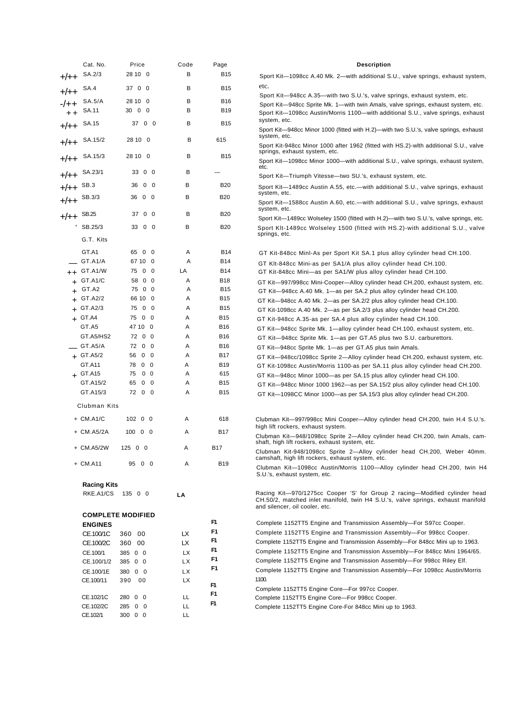|              | Cat. No.               | Price                                | Code       | Page              | <b>Description</b>                                                                                                                                                                               |
|--------------|------------------------|--------------------------------------|------------|-------------------|--------------------------------------------------------------------------------------------------------------------------------------------------------------------------------------------------|
| $+/++$       | SA.2/3                 | 28 10 0                              | в          | <b>B15</b>        | Sport Kit—1098cc A.40 Mk. 2—with additional S.U., valve springs, exhaust system,                                                                                                                 |
|              | SA.4                   | 37 0 0                               | В          | <b>B15</b>        | etc.                                                                                                                                                                                             |
| $+/++$       |                        |                                      |            |                   | Sport Kit—948cc A.35—with two S.U.'s, valve springs, exhaust system, etc.                                                                                                                        |
|              | SA.5/A                 | 28 10 0<br>30 0 0                    | в<br>в     | B16<br><b>B19</b> | Sport Kit—948cc Sprite Mk. 1—with twin Amals, valve springs, exhaust system, etc.                                                                                                                |
|              | SA.11                  |                                      |            |                   | Sport Kit-1098cc Austin/Morris 1100-with additional S.U., valve springs, exhaust<br>system, etc.                                                                                                 |
| $+/++$ SA.15 |                        | 37 0 0                               | в          | <b>B15</b>        | Sport Kit—948cc Minor 1000 (fitted with H.2)—with two S.U.'s, valve springs, exhaust<br>system, etc.                                                                                             |
|              | $+/++$ SA.15/2         | 28 10 0                              | B          | 615               | Sport Kit-948cc Minor 1000 after 1962 (fitted with HS.2)-with additional S.U., valve<br>springs, exhaust system, etc.                                                                            |
|              | $+/++$ SA.15/3         | 28 10 0                              | в          | <b>B15</b>        | Sport Kit—1098cc Minor 1000—with additional S.U., valve springs, exhaust system,                                                                                                                 |
| $+/++$       | SA.23/1                | 33 0 0                               | в          |                   | etc.<br>Sport Kit-Triumph Vitesse-two SU.'s, exhaust system, etc.                                                                                                                                |
| $+/++$ SB.3  |                        | 36 0 0                               | в          | <b>B20</b>        | Sport Kit—1489cc Austin A.55, etc.—with additional S.U., valve springs, exhaust                                                                                                                  |
|              | SB.3/3                 | 36 0 0                               | в          | <b>B20</b>        | system, etc.                                                                                                                                                                                     |
| $+/++$       |                        |                                      |            |                   | Sport Kit—1588cc Austin A.60, etc.—with additional S.U., valve springs, exhaust<br>system, etc.                                                                                                  |
| $+/++$ SB.25 |                        | 37 0 0                               | в          | <b>B20</b>        | Sport Kit—1489cc Wolseley 1500 (fitted with H.2)—with two S.U.'s, valve springs, etc.                                                                                                            |
|              | $S-B.25/3$             | 33 0 0                               | в          | <b>B20</b>        | Sport KIt-1489cc Wolselev 1500 (fitted with HS.2)-with additional S.U., valve                                                                                                                    |
|              | G.T. Kits              |                                      |            |                   | springs, etc.                                                                                                                                                                                    |
|              | GT.A1                  | 65 0 0                               | Α          | <b>B14</b>        | GT Kit-848cc Minl-As per Sport Kit SA.1 plus alloy cylinder head CH.100.                                                                                                                         |
|              | GT.A1/A                | 67 10 0                              | Α          | <b>B14</b>        | GT KIt-848cc Mini-as per SA1/A plus alloy cylinder head CH.100.                                                                                                                                  |
|              | $++$ GT.A1/W           | 75 0 0                               | LA         | <b>B14</b>        | GT Kit-848cc Mini—as per SA1/W plus alloy cylinder head CH.100.                                                                                                                                  |
|              | $+$ GT.A1/C            | 58 0 0                               | Α          | <b>B18</b>        | GT Kit—997/998cc Mini-Cooper—Alloy cylinder head CH.200, exhaust system, etc.                                                                                                                    |
|              | $+$ GT.A2              | 75 0 0                               | Α          | <b>B15</b>        | GT Kit—948cc A.40 Mk. 1—as per SA.2 plus alloy cylinder head CH.100.                                                                                                                             |
|              | $+$ GT.A2/2            | 66 10 0                              | Α          | <b>B15</b>        | GT Kit—948cc A.40 Mk. 2—as per SA.2/2 plus alloy cylinder head CH.100.                                                                                                                           |
|              | $+$ GT.A2/3            | 75 0 0                               | Α          | <b>B15</b>        | GT Kit-1098cc A.40 Mk. 2—as per SA.2/3 plus alloy cylinder head CH.200.                                                                                                                          |
|              | $+$ GT.A4              | 75 0 0                               | Α          | <b>B15</b>        | GT Kit-948cc A.35-as per SA.4 plus alloy cylinder head CH.100.                                                                                                                                   |
|              | GT.A5                  | 47 10 0                              | Α          | <b>B16</b>        | GT Kit—948cc Sprite Mk. 1—alloy cylinder head CH.100, exhaust system, etc.                                                                                                                       |
|              | GT.A5/HS2              | 72 0 0                               | Α          | <b>B16</b>        | GT Kit—948cc Sprite Mk. 1—as per GT.A5 plus two S.U. carburettors.                                                                                                                               |
|              | GT.A5/A                | 72 0 0                               | Α          | <b>B16</b>        | GT Kit-948cc Sprite Mk. 1-as per GT.A5 plus twin Amals.                                                                                                                                          |
|              | $+$ GT.A5/2            | 56 0 0                               | Α          | <b>B17</b>        | GT Kit—948cc/1098cc Sprite 2—Alloy cylinder head CH.200, exhaust system, etc.                                                                                                                    |
|              | GT.A11                 | 78 0 0                               | A          | <b>B19</b>        | GT Kit-1098cc Austin/Morris 1100-as per SA.11 plus alloy cylinder head CH.200.                                                                                                                   |
|              | $+$ GT.A15<br>GT.A15/2 | 75<br>$0\quad 0$<br>65<br>$0\quad 0$ | A<br>Α     | 615<br><b>B15</b> | GT Kit—948cc Minor 1000—as per SA.15 plus alloy cylinder head CH.100.                                                                                                                            |
|              | GT.A15/3               | 72 0 0                               | Α          | <b>B15</b>        | GT Kit-948cc Minor 1000 1962-as per SA.15/2 plus alloy cylinder head CH.100.                                                                                                                     |
|              |                        |                                      |            |                   | GT Kit-1098CC Minor 1000-as per SA.15/3 plus alloy cylinder head CH.200.                                                                                                                         |
|              | Clubman Kits           |                                      |            |                   |                                                                                                                                                                                                  |
|              | $+$ CM.A1/C            | $102 \t 0 \t 0$                      | Α          | 618               | Clubman Kit—997/998cc Mini Cooper—Alloy cylinder head CH.200, twin H.4 S.U.'s.<br>high lift rockers, exhaust system.                                                                             |
|              | $+$ CM.A5/2A           | 10000                                | Α          | <b>B17</b>        | Clubman Kit-948/1098cc Sprite 2-Alloy cylinder head CH.200, twin Amals, cam-<br>shaft, high lift rockers, exhaust system, etc.                                                                   |
|              | + CM.A5/2W             | 12500                                | Α          | B17               | Clubman Kit-948/1098cc Sprite 2-Alloy cylinder head CH.200, Weber 40mm.<br>camshaft, high lift rockers, exhaust system, etc.                                                                     |
|              | $+$ CM.A11             | 95 0 0                               | Α          | <b>B19</b>        | Clubman Kit-1098cc Austin/Morris 1100-Alloy cylinder head CH.200, twin H4<br>S.U.'s, exhaust system, etc.                                                                                        |
|              | <b>Racing Kits</b>     |                                      |            |                   |                                                                                                                                                                                                  |
|              | RKE.A1/CS 135 0 0      |                                      | LA         |                   | Racing Kit-970/1275cc Cooper 'S' for Group 2 racing-Modified cylinder head<br>CH.50/2, matched inlet manifold, twin H4 S.U.'s, valve springs, exhaust manifold<br>and silencer, oil cooler, etc. |
|              |                        | <b>COMPLETE MODIFIED</b>             |            |                   |                                                                                                                                                                                                  |
|              | <b>ENGINES</b>         |                                      |            | F1.               | Complete 1152TT5 Engine and Transmission Assembly-For S97cc Cooper.                                                                                                                              |
|              | CE.100/1C              | 360 00                               | LX         | F1                | Complete 1152TT5 Engine and Transmission Assembly-For 998cc Cooper.                                                                                                                              |
|              | CE.100/2C              | 360 00                               | LX         | F1.               | Complete 1152TT5 Engine and Transmission Assembly-For 848cc Mini up to 1963.                                                                                                                     |
|              | CE.100/1               | 385 0 0                              | <b>LX</b>  | F1.               | Complete 1152TT5 Engine and Transmission Assembly-For 848cc Mini 1964/65.                                                                                                                        |
|              | CE.100/1/2             | 385 0 0                              | LХ         | F1                | Complete 1152TT5 Engine and Transmission Assembly-For 998cc Riley Elf.                                                                                                                           |
|              | CE.100/1E              | 380 0 0                              | LХ         | F1                | Complete 1152TT5 Engine and Transmission Assembly-For 1098cc Austin/Morris                                                                                                                       |
|              | CE.100/11              | 390 00                               | LX         | F1                | 1100.                                                                                                                                                                                            |
|              |                        |                                      |            | F1                | Complete 1152TT5 Engine Core-For 997cc Cooper.                                                                                                                                                   |
|              | CE.102/1C              | 280 0 0                              | LL.        | F1                | Complete 1152TT5 Engine Core-For 998cc Cooper.                                                                                                                                                   |
|              | CE.102/2C<br>CE.102/1  | 285 0 0<br>300 0 0                   | LL.<br>LL. |                   | Complete 1152TT5 Engine Core-For 848cc Mini up to 1963.                                                                                                                                          |
|              |                        |                                      |            |                   |                                                                                                                                                                                                  |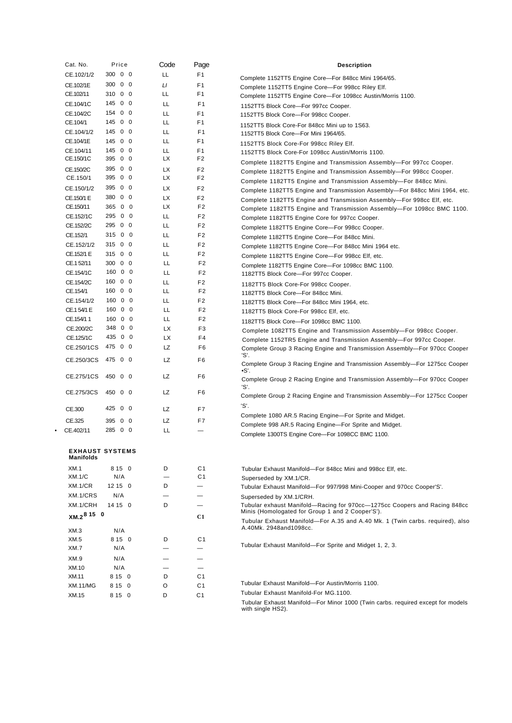| Cat. No.                                   | Price            | Code                     | Page                                       | <b>Description</b>                                                                                      |
|--------------------------------------------|------------------|--------------------------|--------------------------------------------|---------------------------------------------------------------------------------------------------------|
| CE.102/1/2                                 | 300 0 0          | LL.                      | F1                                         | Complete 1152TT5 Engine Core-For 848cc Mini 1964/65.                                                    |
| CE.102/1E                                  | 300 0 0          | LI                       | F <sub>1</sub>                             | Complete 1152TT5 Engine Core-For 998cc Riley Elf.                                                       |
| CE.102/11                                  | 310 0 0          | LL.                      | F1                                         | Complete 1152TT5 Engine Core-For 1098cc Austin/Morris 1100.                                             |
| CE.104/1C                                  | 145 0 0          | LL                       | F <sub>1</sub>                             | 1152TT5 Block Core-For 997cc Cooper.                                                                    |
| CE.104/2C                                  | 154 0 0          | LL                       | F <sub>1</sub>                             | 1152TT5 Block Core-For 998cc Cooper.                                                                    |
| CE.104/1                                   | 14500            | LL.                      | F <sub>1</sub>                             | 1152TT5 Block Core-For 848cc Mini up to 1S63.                                                           |
| CE.104/1/2                                 | 145 0 0          | LL                       | F1                                         | 1152TT5 Block Core-For Mini 1964/65.                                                                    |
| CE.104/1E                                  | 145 0 0          | LL                       | F <sub>1</sub>                             | 1152TT5 Block Core-For 998cc Riley Elf.                                                                 |
| CE.104/11                                  | 145 0 0          | LL                       | F <sub>1</sub>                             | 1152TT5 Block Core-For 1098cc Austin/Morris 1100.                                                       |
| CE.150/1C                                  | 395 0 0          | LХ                       | F <sub>2</sub>                             | Complete 1182TT5 Engine and Transmission Assembly-For 997cc Cooper.                                     |
| CE.150/2C                                  | 395 0 0          | LХ                       | F <sub>2</sub>                             | Complete 1182TT5 Engine and Transmission Assembly-For 998cc Cooper.                                     |
| CE.150/1                                   | 395 0 0          | LX.                      | F <sub>2</sub>                             | Complete 1182TT5 Engine and Transmission Assembly-For 848cc Mini.                                       |
| CE.150/1/2                                 | 395 0 0          | LX.                      | F <sub>2</sub>                             | Complete 1182TT5 Engine and Transmission Assembly-For 848cc Mini 1964, etc.                             |
| CE.150/1 E                                 | 380 0 0          | LX                       | F <sub>2</sub>                             | Complete 1182TT5 Engine and Transmission Assembly-For 998cc Elf, etc.                                   |
| CE.150/11                                  | 365 0 0          | LX.                      | F <sub>2</sub>                             | Complete 1182TT5 Engine and Transmission Assembly-For 1098cc BMC 1100.                                  |
| CE.152/1C                                  | 295 0 0          | LL                       | F <sub>2</sub>                             | Complete 1182TT5 Engine Core for 997cc Cooper.                                                          |
| CE.152/2C                                  | 295 0 0          | LL                       | F <sub>2</sub>                             | Complete 1182TT5 Engine Core-For 998cc Cooper.                                                          |
| CE.152/1                                   | 315 0 0          | LL                       | F <sub>2</sub>                             | Complete 1182TT5 Engine Core-For 848cc Mini.                                                            |
| CE.152/1/2                                 | 315 0 0          | LL                       | F <sub>2</sub>                             | Complete 1182TT5 Engine Core-For 848cc Mini 1964 etc.                                                   |
| CE.152/1 E                                 | 315 0 0          | LL                       | F <sub>2</sub>                             | Complete 1182TT5 Engine Core-For 998cc Elf, etc.                                                        |
| CE.152/11                                  | 300 0 0          | LL                       | F <sub>2</sub>                             | Complete 1182TT5 Engine Core-For 1098cc BMC 1100.                                                       |
| CE.154/1C                                  | 160 0 0          | LL                       | F <sub>2</sub>                             | 1182TT5 Block Core-For 997cc Cooper.                                                                    |
| CE.154/2C                                  | 16000            | LL                       | F <sub>2</sub>                             | 1182TT5 Block Core-For 998cc Cooper.                                                                    |
| CE.154/1                                   | 16000            | LL                       | F <sub>2</sub>                             | 1182TT5 Block Core-For 848cc Mini.                                                                      |
| CE.154/1/2                                 | 16000<br>160 0 0 | LL                       | F <sub>2</sub><br>F <sub>2</sub>           | 1182TT5 Block Core-For 848cc Mini 1964, etc.                                                            |
| CE.154/1 E<br>CE.154/1 1                   | 160 0 0          | LL<br>LL.                | F <sub>2</sub>                             | 1182TT5 Block Core-For 998cc Elf, etc.                                                                  |
| CE.200/2C                                  | 348 0 0          | LX                       | F <sub>3</sub>                             | 1182TT5 Block Core-For 1098cc BMC 1100.                                                                 |
| CE.125/1C                                  | 435 0 0          | <b>LX</b>                | F4                                         | Complete 1082TT5 Engine and Transmission Assembly-For 998cc Cooper.                                     |
| CE.250/1CS                                 | 475 0 0          | LZ                       | F <sub>6</sub>                             | Complete 1152TR5 Engine and Transmission Assembly-For 997cc Cooper.                                     |
|                                            |                  |                          |                                            | Complete Group 3 Racing Engine and Transmission Assembly-For 970cc Cooper<br>'S'.                       |
| CE.250/3CS                                 | 475 0 0          | LZ                       | F6                                         | Complete Group 3 Racing Engine and Transmission Assembly-For 1275cc Cooper                              |
| CE.275/1CS                                 | 450 0 0          | LZ                       | F <sub>6</sub>                             | •S'.<br>Complete Group 2 Racing Engine and Transmission Assembly—For 970cc Cooper                       |
|                                            |                  |                          |                                            | 'S'.                                                                                                    |
| CE.275/3CS                                 | 450 0 0          | LZ                       | F6                                         | Complete Group 2 Racing Engine and Transmission Assembly-For 1275cc Cooper                              |
| CE.300                                     | 425 0 0          | LZ                       | F7                                         | 'S'.                                                                                                    |
|                                            |                  |                          |                                            | Complete 1080 AR.5 Racing Engine-For Sprite and Midget.                                                 |
| CE.325                                     | 395 0 0          | LZ                       | F7                                         | Complete 998 AR.5 Racing Engine-For Sprite and Midget.                                                  |
| CE.402/11                                  | 285 0 0          | LL                       |                                            | Complete 1300TS Engine Core-For 1098CC BMC 1100.                                                        |
| <b>EXHAUST SYSTEMS</b><br><b>Manifolds</b> |                  |                          |                                            |                                                                                                         |
| XM.1                                       | 8 15 0           | D                        | C <sub>1</sub>                             | Tubular Exhaust Manifold-For 848cc Mini and 998cc Elf. etc.                                             |
| XM.1/C                                     | N/A              | $\overline{\phantom{0}}$ | C <sub>1</sub>                             | Superseded by XM.1/CR.                                                                                  |
| XM.1/CR                                    | 12 15 0          | D                        |                                            | Tubular Exhaust Manifold-For 997/998 Mini-Cooper and 970cc Cooper'S'.                                   |
| XM.1/CRS                                   | N/A              |                          | $\overline{\phantom{0}}$                   | Superseded by XM.1/CRH.                                                                                 |
| XM.1/CRH                                   | 14 15 0          | D                        | —                                          | Tubular exhaust Manifold—Racing for 970cc—1275cc Coopers and Racing 848cc                               |
| XM.2 <sup>8</sup> 15 0                     |                  |                          | C1                                         | Minis (Homologated for Group 1 and 2 Cooper'S').                                                        |
|                                            |                  |                          |                                            | Tubular Exhaust Manifold—For A.35 and A.40 Mk. 1 (Twin carbs. required), also<br>A.40Mk. 2948and1098cc. |
| XM.3                                       | N/A              |                          |                                            |                                                                                                         |
| XM.5<br>XM.7                               | 8 15 0<br>N/A    | D                        | C <sub>1</sub><br>$\overline{\phantom{0}}$ | Tubular Exhaust Manifold—For Sprite and Midget 1, 2, 3.                                                 |
|                                            |                  |                          |                                            |                                                                                                         |
| XM.9<br>XM.10                              | N/A<br>N/A       |                          | -<br>$\overline{\phantom{0}}$              |                                                                                                         |
| XM.11                                      | 8 15 0           | D                        | C <sub>1</sub>                             |                                                                                                         |
| <b>XM.11/MG</b>                            | 8 15 0           | O                        | C <sub>1</sub>                             | Tubular Exhaust Manifold-For Austin/Morris 1100.                                                        |
| XM.15                                      | 8 15 0           | D                        | C <sub>1</sub>                             | Tubular Exhaust Manifold-For MG.1100.                                                                   |
|                                            |                  |                          |                                            | Tubular Exhaust Manifold-For Minor 1000 (Twin carbs. required except for models<br>with single HS2).    |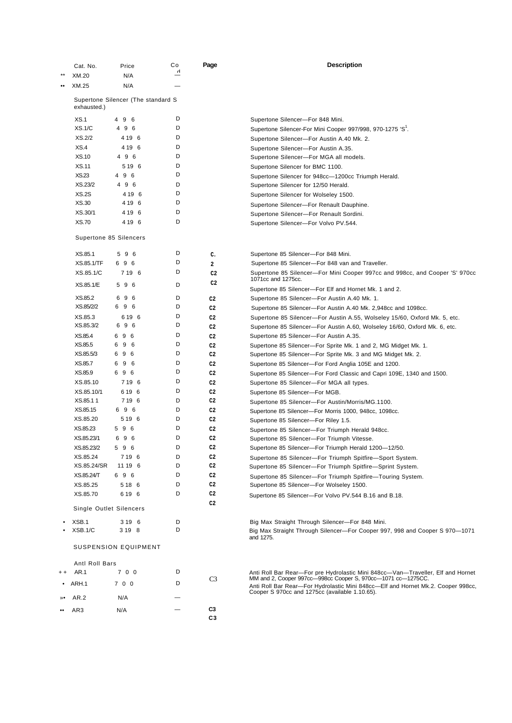|                  | Cat. No.                                          | Price           | Co           | Page                             | <b>Description</b>                                                                                                                              |
|------------------|---------------------------------------------------|-----------------|--------------|----------------------------------|-------------------------------------------------------------------------------------------------------------------------------------------------|
|                  | XM.20                                             | N/A             | $\mathsf{L}$ |                                  |                                                                                                                                                 |
| $\bullet\bullet$ | XM.25                                             | N/A             |              |                                  |                                                                                                                                                 |
|                  | Supertone Silencer (The standard S<br>exhausted.) |                 |              |                                  |                                                                                                                                                 |
|                  | XS.1                                              | 49<br>6         | D            |                                  | Supertone Silencer-For 848 Mini.                                                                                                                |
|                  | XS.1/C                                            | 4 9 6           | D            |                                  | Supertone Silencer-For Mini Cooper 997/998, 970-1275 'S'.                                                                                       |
|                  | XS.2/2                                            | 4 19 6          | D            |                                  | Supertone Silencer-For Austin A.40 Mk. 2.                                                                                                       |
|                  | XS.4                                              | 4 19 6          | D            |                                  | Supertone Silencer-For Austin A.35.                                                                                                             |
|                  | <b>XS.10</b>                                      | 4 9 6           | D            |                                  | Supertone Silencer-For MGA all models.                                                                                                          |
|                  | <b>XS.11</b>                                      | 5 19 6          | D            |                                  | Supertone Silencer for BMC 1100.                                                                                                                |
|                  | XS.23                                             | 4 9 6           | D            |                                  | Supertone Silencer for 948cc-1200cc Triumph Herald.                                                                                             |
|                  | XS.23/2                                           | 4 9 6           | D            |                                  | Supertone Silencer for 12/50 Herald.                                                                                                            |
|                  | XS.2S                                             | 4 19 6          | D            |                                  | Supertone Silencer for Wolseley 1500.                                                                                                           |
|                  | XS.30                                             | 4 19 6          | D            |                                  | Supertone Silencer-For Renault Dauphine.                                                                                                        |
|                  | XS.30/1                                           | 4 19 6          | D            |                                  | Supertone Silencer-For Renault Sordini.                                                                                                         |
|                  | <b>XS.70</b>                                      | 4 19 6          | D            |                                  | Supertone Silencer-For Volvo PV.544.                                                                                                            |
|                  | Supertone 85 Silencers                            |                 |              |                                  |                                                                                                                                                 |
|                  |                                                   |                 |              |                                  |                                                                                                                                                 |
|                  | XS.85.1                                           | 5 9 6           | D            | c.                               | Supertone 85 Silencer-For 848 Mini.                                                                                                             |
|                  | XS.85.1/TF                                        | 696             | D            | $\overline{a}$                   | Supertone 85 Silencer-For 848 van and Traveller.                                                                                                |
|                  | XS.85.1/C<br>XS.85.1/E                            | 7 19 6<br>5 9 6 | D<br>D       | C <sub>2</sub><br>C <sub>2</sub> | Supertone 85 Silencer-For Mini Cooper 997cc and 998cc, and Cooper 'S' 970cc<br>1071cc and 1275cc.                                               |
|                  |                                                   |                 |              |                                  | Supertone 85 Silencer-For Elf and Hornet Mk. 1 and 2.                                                                                           |
|                  | XS.85.2                                           | 696             | D            | C <sub>2</sub>                   | Supertone 85 Silencer-For Austin A.40 Mk. 1.                                                                                                    |
|                  | XS.85/2/2                                         | 696             | D            | C <sub>2</sub>                   | Supertone 85 Silencer-For Austin A.40 Mk. 2,948cc and 1098cc.                                                                                   |
|                  | XS.85.3                                           | 6 19 6          | D            | C <sub>2</sub>                   | Supertone 85 Silencer-For Austin A.55, Wolseley 15/60, Oxford Mk. 5, etc.                                                                       |
|                  | XS.85.3/2                                         | 696             | D            | C <sub>2</sub>                   | Supertone 85 Silencer-For Austin A.60, Wolseley 16/60, Oxford Mk. 6, etc.                                                                       |
|                  | XS.85.4                                           | 696             | D            | C2                               | Supertone 85 Silencer-For Austin A.35.                                                                                                          |
|                  | XS.85.5                                           | 9<br>6<br>6     | D            | C <sub>2</sub>                   | Supertone 85 Silencer-For Sprite Mk. 1 and 2, MG Midget Mk. 1.                                                                                  |
|                  | XS.85.5/3                                         | 696             | D            | C <sub>2</sub>                   | Supertone 85 Silencer-For Sprite Mk. 3 and MG Midget Mk. 2.                                                                                     |
|                  | XS.85.7                                           | 69<br>6         | D            | C2                               | Supertone 85 Silencer-For Ford Anglia 105E and 1200.                                                                                            |
|                  | XS.85.9                                           | 696             | D            | C <sub>2</sub>                   | Supertone 85 Silencer-For Ford Classic and Capri 109E, 1340 and 1500.                                                                           |
|                  | XS.85.10                                          | 719 6           | D            | C <sub>2</sub>                   | Supertone 85 Silencer-For MGA all types.                                                                                                        |
|                  | XS.85.10/1                                        | 619 6           | D            | C <sub>2</sub>                   | Supertone 85 Silencer-For MGB.                                                                                                                  |
|                  | XS.85.11                                          | 7 19 6          | D            | C <sub>2</sub>                   | Supertone 85 Silencer-For Austin/Morris/MG.1100.                                                                                                |
|                  | XS.85.15                                          | 696             | D            | C <sub>2</sub>                   | Supertone 85 Silencer-For Morris 1000, 948cc, 1098cc.                                                                                           |
|                  | XS.85.20                                          | 5 19 6          | D            | C <sub>2</sub>                   | Supertone 85 Silencer-For Riley 1.5.                                                                                                            |
|                  | XS.85.23                                          | 596             | D            | C <sub>2</sub>                   | Supertone 85 Silencer-For Triumph Herald 948cc.                                                                                                 |
|                  | XS.85.23/1                                        | 696             | D            | C <sub>2</sub>                   | Supertone 85 Silencer-For Triumph Vitesse.                                                                                                      |
|                  | XS.85.23/2                                        | 596             | D            | C2                               | Supertone 85 Silencer-For Triumph Herald 1200-12/50.                                                                                            |
|                  | XS.85.24                                          | 719 6           | D            | C2                               | Supertone 85 Silencer-For Triumph Spitfire-Sport System.                                                                                        |
|                  | XS.85.24/SR                                       | 11 19 6         | D            | C2                               | Supertone 85 Silencer-For Triumph Spitfire-Sprint System.                                                                                       |
|                  | XS.85.24/T                                        | 696             | D            | C2                               | Supertone 85 Silencer-For Triumph Spitfire-Touring System.                                                                                      |
|                  | XS.85.25                                          | 5 18 6          | D            | C <sub>2</sub>                   | Supertone 85 Silencer-For Wolseley 1500.                                                                                                        |
|                  | XS.85.70                                          | 6 19 6          | D            | C <sub>2</sub>                   | Supertone 85 Silencer-For Volvo PV.544 B.16 and B.18.                                                                                           |
|                  | Single Outlet Silencers                           |                 |              | C <sub>2</sub>                   |                                                                                                                                                 |
|                  | XSB.1                                             | 3 19 6          | D            |                                  | Big Max Straight Through Silencer-For 848 Mini.                                                                                                 |
|                  | XSB.1/C                                           | 3 19 8          | D            |                                  | Big Max Straight Through Silencer-For Cooper 997, 998 and Cooper S 970-1071                                                                     |
|                  |                                                   |                 |              |                                  | and 1275.                                                                                                                                       |
|                  | SUSPENSION EQUIPMENT                              |                 |              |                                  |                                                                                                                                                 |
|                  | Antl Roll Bars                                    |                 | D            |                                  |                                                                                                                                                 |
| $^{\mathrm{+}}$  | AR.1                                              | 7 0 0           |              | C3                               | Anti Roll Bar Rear-For pre Hydrolastic Mini 848cc-Van-Traveller, Elf and Hornet<br>MM and 2, Cooper 997cc-998cc Cooper S, 970cc-1071 cc-1275CC. |
|                  | $\bullet$ ARH.1                                   | 7 0 0           | D            |                                  | Anti Roll Bar Rear-For Hydrolastic Mini 848cc-Elf and Hornet Mk.2. Cooper 998cc,<br>Cooper S 970cc and 1275cc (available 1.10.65).              |
|                  | AR.2                                              | N/A             |              |                                  |                                                                                                                                                 |
|                  | AR3                                               | N/A             |              | C3<br>C3                         |                                                                                                                                                 |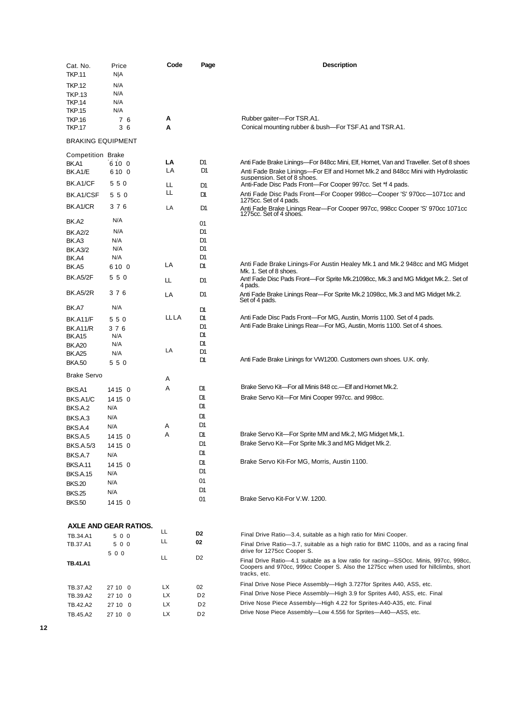| Cat. No.                       | Price                 | Code | Page           | <b>Description</b>                                                                                                                                                                         |
|--------------------------------|-----------------------|------|----------------|--------------------------------------------------------------------------------------------------------------------------------------------------------------------------------------------|
| <b>TKP.11</b>                  | NJA                   |      |                |                                                                                                                                                                                            |
| <b>TKP.12</b>                  | N/A                   |      |                |                                                                                                                                                                                            |
|                                | N/A                   |      |                |                                                                                                                                                                                            |
| <b>TKP.13</b><br><b>TKP.14</b> | N/A                   |      |                |                                                                                                                                                                                            |
| <b>TKP.15</b>                  | N/A                   |      |                |                                                                                                                                                                                            |
|                                |                       | А    |                |                                                                                                                                                                                            |
| <b>TKP.16</b>                  | 76                    |      |                | Rubber gaiter-For TSR.A1.                                                                                                                                                                  |
| <b>TKP.17</b>                  | 36                    | A    |                | Conical mounting rubber & bush—For TSF.A1 and TSR.A1.                                                                                                                                      |
| <b>BRAKING EQUIPMENT</b>       |                       |      |                |                                                                                                                                                                                            |
| Competition Brake              |                       |      |                |                                                                                                                                                                                            |
| BK.A1                          | 6100                  | LA   | D1             | Anti Fade Brake Linings—For 848cc Mini, Elf, Hornet, Van and Traveller. Set of 8 shoes                                                                                                     |
| BK.A1/E                        | 610 0                 | LA   | D1             | Anti Fade Brake Linings—For Elf and Hornet Mk.2 and 848cc Mini with Hydrolastic<br>suspension. Set of 8 shoes.                                                                             |
| BK.A1/CF                       | 550                   | Ш    | D1             | Anti-Fade Disc Pads Front---For Cooper 997cc. Set *f 4 pads.                                                                                                                               |
| BK.A1/CSF                      | 550                   | Ш.   | D١             | Anti Fade Disc Pads Front—For Cooper 998cc—Cooper 'S' 970cc—1071cc and<br>1275cc. Set of 4 pads.                                                                                           |
| BK.A1/CR                       | 376                   | LA   | D1             | Anti Fade Brake Linings Rear—For Cooper 997cc, 998cc Cooper 'S' 970cc 1071cc                                                                                                               |
| BK.A2                          | N/A                   |      | 01             | 1275cc. Set of 4 shoes.                                                                                                                                                                    |
|                                | N/A                   |      |                |                                                                                                                                                                                            |
| <b>BK.A2/2</b>                 |                       |      | D1             |                                                                                                                                                                                            |
| BK.A3                          | N/A                   |      | D1             |                                                                                                                                                                                            |
| <b>BK.A3/2</b>                 | N/A                   |      | D1             |                                                                                                                                                                                            |
| BK.A4                          | N/A                   |      | D1             | Anti Fade Brake Linings-For Austin Healey Mk.1 and Mk.2 948cc and MG Midget                                                                                                                |
| BK.A5                          | 610 0                 | LA   | <b>D</b>       | Mk. 1. Set of 8 shoes.                                                                                                                                                                     |
| <b>BK.A5/2F</b>                | 550                   | Ш.   | D1             | Ant! Fade Disc Pads Front—For Sprite Mk.21098cc, Mk.3 and MG Midget Mk.2 Set of<br>4 pads.                                                                                                 |
| <b>BK.A5/2R</b>                | 376                   | LA   | D1             | Anti Fade Brake Linings Rear-For Sprite Mk.2 1098cc, Mk.3 and MG Midget Mk.2.<br>Set of 4 pads.                                                                                            |
| BK.A7                          | N/A                   |      | <b>D</b>       |                                                                                                                                                                                            |
| <b>BK.A11/F</b>                | 550                   | LLLA | <b>D</b>       | Anti Fade Disc Pads Front—For MG, Austin, Morris 1100. Set of 4 pads.                                                                                                                      |
| <b>BK.A11/R</b>                | 376                   |      | D1             | Anti Fade Brake Linings Rear—For MG, Austin, Morris 1100. Set of 4 shoes.                                                                                                                  |
| <b>BK.A15</b>                  | N/A                   |      | D١             |                                                                                                                                                                                            |
| <b>BK.A20</b>                  | N/A                   |      | D              |                                                                                                                                                                                            |
| <b>BK.A25</b>                  | N/A                   | LA   | D <sub>1</sub> |                                                                                                                                                                                            |
| <b>BKA.50</b>                  | 550                   |      | <b>D</b>       | Anti Fade Brake Linings for VW1200. Customers own shoes. U.K. only.                                                                                                                        |
| <b>Brake Servo</b>             |                       | Α    |                |                                                                                                                                                                                            |
|                                |                       |      |                | Brake Servo Kit—For all Minis 848 cc.—Elf and Hornet Mk.2.                                                                                                                                 |
| BKS.A1                         | 14 15 0               | A    | D١             |                                                                                                                                                                                            |
| BKS.A1/C                       | 14 15 0               |      | D١             | Brake Servo Kit-For Mini Cooper 997cc. and 998cc.                                                                                                                                          |
| BKS.A.2                        | N/A                   |      | D١             |                                                                                                                                                                                            |
| BKS.A.3                        | N/A                   |      | D              |                                                                                                                                                                                            |
| BKS.A.4                        | N/A                   | Α    | D1             |                                                                                                                                                                                            |
| BKS.A.5                        | 14 15 0               | A    | D              | Brake Servo Kit-For Sprite MM and Mk.2, MG Midget Mk,1.                                                                                                                                    |
| <b>BKS.A.5/3</b>               | 14 15 0               |      | D1             | Brake Servo Kit-For Sprite Mk.3 and MG Midget Mk.2.                                                                                                                                        |
|                                |                       |      | D١             |                                                                                                                                                                                            |
| BKS.A.7                        | N/A                   |      | D١             | Brake Servo Kit-For MG, Morris, Austin 1100.                                                                                                                                               |
| BKS.A.11                       | 14 15 0               |      | D1             |                                                                                                                                                                                            |
| <b>BKS.A.15</b>                | N/A                   |      |                |                                                                                                                                                                                            |
| <b>BKS.20</b>                  | N/A                   |      | 01             |                                                                                                                                                                                            |
| <b>BKS.25</b>                  | N/A                   |      | D1             |                                                                                                                                                                                            |
| <b>BKS.50</b>                  | 14 15 0               |      | 01             | Brake Servo Kit-For V.W. 1200.                                                                                                                                                             |
|                                |                       |      |                |                                                                                                                                                                                            |
|                                | AXLE AND GEAR RATIOS. | LL   |                |                                                                                                                                                                                            |
| TB.34.A1                       | 500                   |      | D2             | Final Drive Ratio-3.4, suitable as a high ratio for Mini Cooper.                                                                                                                           |
| TB.37.A1                       | 500<br>500            | LL   | 02             | Final Drive Ratio-3.7, suitable as a high ratio for BMC 1100s, and as a racing final<br>drive for 1275cc Cooper S.                                                                         |
| TB.41.A1                       |                       | ᄔ    | D2             | Final Drive Ratio-4.1 suitable as a low ratio for racing-SSOcc. Minis, 997cc, 998cc,<br>Coopers and 970cc, 999cc Cooper S. Also the 1275cc when used for hillclimbs, short<br>tracks, etc. |
|                                |                       |      |                | Final Drive Nose Piece Assembly-High 3.727 for Sprites A40, ASS, etc.                                                                                                                      |
| TB.37.A2                       | 27 10 0               | LX   | 02             | Final Drive Nose Piece Assembly—High 3.9 for Sprites A40, ASS, etc. Final                                                                                                                  |
| TB.39.A2                       | 27 10 0               | LX   | D <sub>2</sub> |                                                                                                                                                                                            |
| TB.42.A2                       | 27 10 0               | LX   | D <sub>2</sub> | Drive Nose Piece Assembly—High 4.22 for Sprites-A40-A35, etc. Final                                                                                                                        |
| TB.45.A2                       | 27 10 0               | LX   | D <sub>2</sub> | Drive Nose Piece Assembly-Low 4.556 for Sprites-A40-ASS, etc.                                                                                                                              |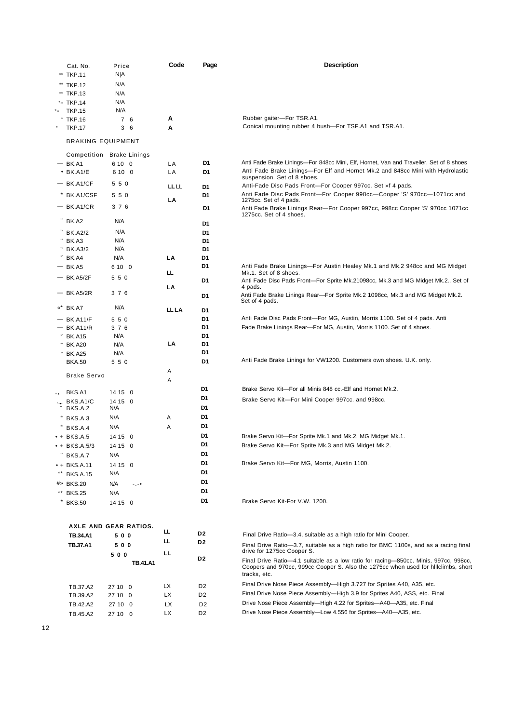|     | Cat. No.                     | Price                     | Code         | Page           | <b>Description</b>                                                                                                                                                                         |
|-----|------------------------------|---------------------------|--------------|----------------|--------------------------------------------------------------------------------------------------------------------------------------------------------------------------------------------|
|     | ** TKP.11                    | NJA                       |              |                |                                                                                                                                                                                            |
|     | ** TKP.12                    | N/A                       |              |                |                                                                                                                                                                                            |
|     | ** TKP.13                    | N/A                       |              |                |                                                                                                                                                                                            |
|     | *» TKP.14                    | N/A                       |              |                |                                                                                                                                                                                            |
| * » | <b>TKP.15</b>                | N/A                       |              |                |                                                                                                                                                                                            |
|     | <b>TKP.16</b>                | 7 6                       | А            |                | Rubber gaiter-For TSR.A1.                                                                                                                                                                  |
|     | <b>TKP.17</b>                | 36                        | A            |                | Conical mounting rubber 4 bush-For TSF.A1 and TSR.A1.                                                                                                                                      |
|     | <b>BRAKING EQUIPMENT</b>     |                           |              |                |                                                                                                                                                                                            |
|     |                              | Competition Brake Linings |              |                |                                                                                                                                                                                            |
|     | $-$ BK.A1<br>$•$ BK.A1/E     | 6 10 0<br>6 10 0          | LA           | D1<br>D1       | Anti Fade Brake Linings—For 848cc Mini, Elf, Hornet, Van and Traveller. Set of 8 shoes<br>Anti Fade Brake Linings-For Elf and Hornet Mk.2 and 848cc Mini with Hydrolastic                  |
|     |                              |                           | LA           |                | suspension. Set of 8 shoes.                                                                                                                                                                |
|     | $-$ BK.A1/CF                 | 550                       | LL LL        | D1             | Anti-Fade Disc Pads Front-For Cooper 997cc. Set »f 4 pads.                                                                                                                                 |
|     | BK.A1/CSF                    | 550                       | LA           | D1             | Anti Fade Disc Pads Front-For Cooper 998cc-Cooper 'S' 970cc-1071cc and<br>1275cc. Set of 4 pads.                                                                                           |
|     | $-$ BK.A1/CR                 | 376                       |              | D1             | Anti Fade Brake Linings Rear-For Cooper 997cc, 998cc Cooper 'S' 970cc 1071cc                                                                                                               |
|     | BK.A2                        | N/A                       |              |                | 1275cc. Set of 4 shoes.                                                                                                                                                                    |
|     |                              | N/A                       |              | D1             |                                                                                                                                                                                            |
|     | <b>BK.A2/2</b><br>BK.A3      | N/A                       |              | D1<br>D1       |                                                                                                                                                                                            |
|     | $\cdot$ BK.A3/2              | N/A                       |              | D1             |                                                                                                                                                                                            |
|     | $*$ BK.A4                    | N/A                       | LA           | D1             |                                                                                                                                                                                            |
|     | $-$ BK.A5                    | 6 10 0                    |              | D1             | Anti Fade Brake Linings-For Austin Healey Mk.1 and Mk.2 948cc and MG Midget                                                                                                                |
|     | $-$ BK.A5/2F                 | 550                       | ш.           |                | Mk.1. Set of 8 shoes.                                                                                                                                                                      |
|     |                              |                           | LA           | D1             | Anti Fade Disc Pads Front-For Sprite Mk.21098cc, Mk.3 and MG Midget Mk.2 Set of<br>4 pads.                                                                                                 |
|     | — BK.A5/2R                   | 3 7 6                     |              | D1             | Anti Fade Brake Linings Rear-For Sprite Mk.2 1098cc, Mk.3 and MG Midget Mk.2.<br>Set of 4 pads.                                                                                            |
|     | «* BK.A7                     | N/A                       | <b>LL LA</b> | D1             |                                                                                                                                                                                            |
|     | — BK.A11/F                   | 550                       |              | D1             | Anti Fade Disc Pads Front-For MG, Austin, Morris 1100. Set of 4 pads. Anti                                                                                                                 |
|     | $-$ BK.A11/R                 | 3 7 6                     |              | D1             | Fade Brake Linings Rear-For MG, Austin, Morris 1100. Set of 4 shoes.                                                                                                                       |
|     | $*$ BK.A15                   | N/A                       |              | D1             |                                                                                                                                                                                            |
|     | <sup>°</sup> BK.A20          | N/A                       | LA           | D1<br>D1       |                                                                                                                                                                                            |
|     | " BK.A25<br><b>BKA.50</b>    | N/A<br>550                |              | D1             | Anti Fade Brake Linings for VW1200. Customers own shoes. U.K. only.                                                                                                                        |
|     |                              |                           | Α            |                |                                                                                                                                                                                            |
|     | <b>Brake Servo</b>           |                           | Α            |                |                                                                                                                                                                                            |
|     |                              |                           |              | D1             | Brake Servo Kit-For all Minis 848 cc.-Elf and Hornet Mk.2.                                                                                                                                 |
|     | BKS.A1<br>$\cdot +$ BKS.A1/C | 14 15 0                   |              | D1             | Brake Servo Kit-For Mini Cooper 997cc. and 998cc.                                                                                                                                          |
|     | BKS.A.2                      | 14 15 0<br>N/A            |              | D1             |                                                                                                                                                                                            |
|     | BKS.A.3                      | N/A                       | Α            | D1             |                                                                                                                                                                                            |
|     | BKS.A.4                      | N/A                       | Α            | D1             |                                                                                                                                                                                            |
|     | $+$ BKS.A.5                  | 14 15 0                   |              | D1             | Brake Servo Kit-For Sprite Mk.1 and Mk.2, MG Midget Mk.1.                                                                                                                                  |
|     | • + BKS.A.5/3                | 14 15 0                   |              | D1             | Brake Servo Kit-For Sprite Mk.3 and MG Midget Mk.2.                                                                                                                                        |
|     | BKS.A.7                      | N/A                       |              | D1             |                                                                                                                                                                                            |
|     | $+ BKS.A.11$                 | 14 15 0                   |              | D1             | Brake Servo Kit-For MG, Morris, Austin 1100.                                                                                                                                               |
|     | <b>BKS.A.15</b>              | N/A                       |              | D1             |                                                                                                                                                                                            |
|     | #» BKS.20                    | N/A<br>-.-•               |              | D1             |                                                                                                                                                                                            |
|     | ** BKS.25                    | N/A                       |              | D1             |                                                                                                                                                                                            |
|     | * BKS.50                     | 14 15 0                   |              | D1             | Brake Servo Kit-For V.W. 1200.                                                                                                                                                             |
|     |                              | AXLE AND GEAR RATIOS.     |              |                |                                                                                                                                                                                            |
|     | <b>TB.34.A1</b>              | 500                       | ᄔ            | D2             | Final Drive Ratio-3.4, suitable as a high ratio for Mini Cooper.                                                                                                                           |
|     | <b>TB.37.A1</b>              | 500                       | ш.           | D2             | Final Drive Ratio-3.7, suitable as a high ratio for BMC 1100s, and as a racing final                                                                                                       |
|     |                              | 500                       | LL           |                | drive for 1275cc Cooper S.                                                                                                                                                                 |
|     |                              | <b>TB.41.A1</b>           |              | D2             | Final Drive Ratio-4.1 suitable as a low ratio for racing-850cc. Minis, 997cc, 998cc,<br>Coopers and 970cc, 999cc Cooper S. Also the 1275cc when used for hillclimbs, short<br>tracks, etc. |
|     | TB.37.A2                     | 27 10 0                   | LX           | D <sub>2</sub> | Final Drive Nose Piece Assembly-High 3.727 for Sprites A40, A35, etc.                                                                                                                      |
|     | TB.39.A2                     | 27 10 0                   | LX           | D <sub>2</sub> | Final Drive Nose Piece Assembly—High 3.9 for Sprites A40, ASS, etc. Final                                                                                                                  |
|     | TB.42.A2                     | 27 10 0                   | LX           | D <sub>2</sub> | Drive Nose Piece Assembly—High 4.22 for Sprites—A40—A35, etc. Final                                                                                                                        |
|     | TB.45.A2                     | 27 10 0                   | LX           | D <sub>2</sub> | Drive Nose Piece Assembly-Low 4.556 for Sprites-A40-A35, etc.                                                                                                                              |
|     |                              |                           |              |                |                                                                                                                                                                                            |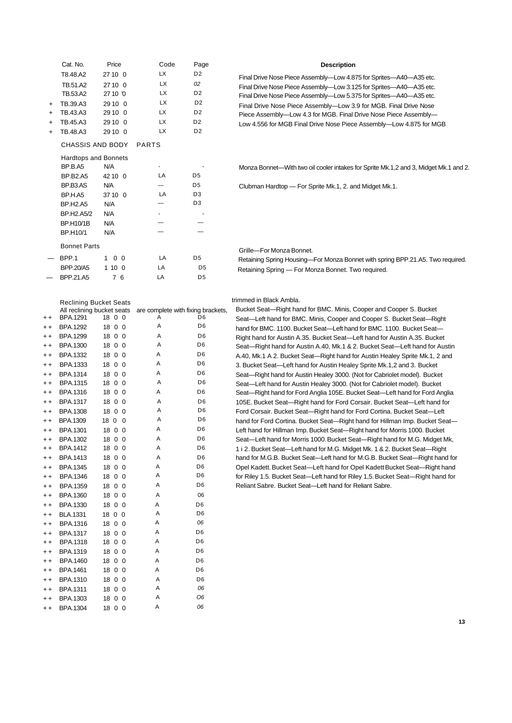|           | Cat. No.                      | Price               | Code                               | Page           | <b>Description</b>                                                                   |
|-----------|-------------------------------|---------------------|------------------------------------|----------------|--------------------------------------------------------------------------------------|
|           | T8.48.A2                      | 27 10 0             | <b>LX</b>                          | D <sub>2</sub> | Final Drive Nose Piece Assembly-Low 4.875 for Sprites-A40-A35 etc.                   |
|           | TB.51.A2                      | 27 10 0             | <b>LX</b>                          | 02             | Final Drive Nose Piece Assembly-Low 3.125 for Sprites-A40-A35 etc.                   |
|           | TB.53.A2                      | 27 10 '0            | LX.                                | D <sub>2</sub> | Final Drive Nose Piece Assembly-Low 5.375 for Sprites-A40-A35 etc.                   |
| $+$       | TB.39.A3                      | 29 10 0             | LX                                 | D <sub>2</sub> | Final Drive Nose Piece Assembly-Low 3.9 for MGB. Final Drive Nose                    |
| $\ddot{}$ | TB.43.A3                      | 29 10 0             | <b>LX</b>                          | D <sub>2</sub> | Piece Assembly-Low 4.3 for MGB. Final Drive Nose Piece Assembly-                     |
|           | TB.45.A3                      | 29 10 0             | <b>LX</b>                          | D <sub>2</sub> | Low 4.556 for MGB Final Drive Nose Piece Assembly-Low 4.875 for MGB                  |
| $\ddot{}$ | TB.48.A3                      | 29 10 0             | <b>LX</b>                          | D <sub>2</sub> |                                                                                      |
|           | CHASSIS AND BODY              |                     | <b>PARTS</b>                       |                |                                                                                      |
|           | <b>Hardtops and Bonnets</b>   |                     |                                    |                |                                                                                      |
|           | BP.B.A5                       | N/A                 |                                    |                | Monza Bonnet—With two oil cooler intakes for Sprite Mk.1,2 and 3, Midget Mk.1 and 2. |
|           | <b>BP.B2.A5</b>               | 42 10 0             | LA                                 | D <sub>5</sub> |                                                                                      |
|           | BP.B3.AS                      | N/A                 |                                    | D <sub>5</sub> | Clubman Hardtop - For Sprite Mk.1, 2. and Midget Mk.1.                               |
|           | BP.H.A5                       | 37 10 0             | LA                                 | D <sub>3</sub> |                                                                                      |
|           | <b>BP.H2.A5</b>               | N/A                 |                                    | D <sub>3</sub> |                                                                                      |
|           | BP.H2.A5/2                    | N/A                 |                                    |                |                                                                                      |
|           | <b>BP.H10/1B</b>              | N/A                 |                                    |                |                                                                                      |
|           | BP.H10/1                      | N/A                 |                                    |                |                                                                                      |
|           | <b>Bonnet Parts</b>           |                     |                                    |                | Grille-For Monza Bonnet.                                                             |
|           | BPP.1                         | $1 \quad 0 \quad 0$ | LA                                 | D <sub>5</sub> | Retaining Spring Housing-For Monza Bonnet with spring BPP.21.A5. Two required.       |
|           | <b>BPP.20/A5</b>              | 1100                | LA                                 | D <sub>5</sub> | Retaining Spring - For Monza Bonnet. Two required.                                   |
|           | BPP.21.A5                     | 7 6                 | LA                                 | D <sub>5</sub> |                                                                                      |
|           |                               |                     |                                    |                |                                                                                      |
|           | <b>Reclining Bucket Seats</b> |                     |                                    |                | trimmed in Black Ambla.                                                              |
|           | All reclining bucket seats    |                     | are complete with fixing brackets, |                | Bucket Seat-Right hand for BMC. Minis, Cooper and Cooper S. Bucket                   |
| $+ +$     | <b>BPA.1291</b>               | 18 0 0              | Α                                  | D <sub>6</sub> | Seat-Left hand for BMC. Minis, Cooper and Cooper S. Bucket Seat-Right                |
| $+ +$     | <b>BPA.1292</b>               | 18 0 0              | Α                                  | D <sub>6</sub> | hand for BMC. 1100. Bucket Seat-Left hand for BMC. 1100. Bucket Seat-                |
| $+ +$     | <b>BPA.1299</b>               | 18 0 0              | Α                                  | D <sub>6</sub> | Right hand for Austin A.35. Bucket Seat—Left hand for Austin A.35. Bucket            |
| $+ +$     | BPA.1300                      | 18 0 0              | Α                                  | D <sub>6</sub> | Seat-Right hand for Austin A.40, Mk.1 & 2. Bucket Seat-Left hand for Austin          |
| $+ +$     | BPA.1332                      | 18 0 0              | Α                                  | D <sub>6</sub> | A.40, Mk.1 A 2. Bucket Seat-Right hand for Austin Healey Sprite Mk.1, 2 and          |

|                 | <b>BPA.1299</b> | 18 0 0 | Α | D <sub>6</sub> |                                                                                |
|-----------------|-----------------|--------|---|----------------|--------------------------------------------------------------------------------|
| $^{\mathrm{+}}$ |                 |        |   | D <sub>6</sub> | Right hand for Austin A.35. Bucket Seat-Left hand for Austin A.35. Bucket      |
| $+ +$           | <b>BPA.1300</b> | 18 0 0 | Α |                | Seat-Right hand for Austin A.40, Mk.1 & 2. Bucket Seat-Left hand for Austin    |
| $^{\mathrm{+}}$ | <b>BPA.1332</b> | 18 0 0 | A | D <sub>6</sub> | A.40, Mk.1 A 2. Bucket Seat-Right hand for Austin Healey Sprite Mk.1, 2 and    |
| $^{\mathrm{+}}$ | <b>BPA.1333</b> | 18 0 0 | Α | D <sub>6</sub> | 3. Bucket Seat-Left hand for Austin Healey Sprite Mk.1,2 and 3. Bucket         |
| $+ +$           | <b>BPA.1314</b> | 18 0 0 | Α | D <sub>6</sub> | Seat—Right hand for Austin Healey 3000. (Not for Cabriolet model). Bucket      |
| $^{\mathrm{+}}$ | <b>BPA.1315</b> | 18 0 0 | Α | D <sub>6</sub> | Seat—Left hand for Austin Healey 3000. (Not for Cabriolet model). Bucket       |
| $^{\mathrm{+}}$ | BPA.1316        | 18 0 0 | Α | D <sub>6</sub> | Seat—Right hand for Ford Anglia 105E. Bucket Seat—Left hand for Ford Anglia    |
| $^{\mathrm{+}}$ | <b>BPA.1317</b> | 18 0 0 | A | D <sub>6</sub> | 105E. Bucket Seat-Right hand for Ford Corsair. Bucket Seat-Left hand for       |
| $^{\mathrm{+}}$ | <b>BPA.1308</b> | 18 0 0 | Α | D <sub>6</sub> | Ford Corsair. Bucket Seat-Right hand for Ford Cortina. Bucket Seat-Left        |
| $^{\mathrm{+}}$ | BPA.1309        | 18 0 0 | Α | D <sub>6</sub> | hand for Ford Cortina. Bucket Seat-Right hand for Hillman Imp. Bucket Seat-    |
| $^{\mathrm{+}}$ | BPA.1301        | 18 0 0 | Α | D <sub>6</sub> | Left hand for Hillman Imp. Bucket Seat—Right hand for Morris 1000. Bucket      |
| $^{\mathrm{+}}$ | BPA.1302        | 18 0 0 | Α | D <sub>6</sub> | Seat—Left hand for Morris 1000. Bucket Seat—Right hand for M.G. Midget Mk,     |
| $^{\mathrm{+}}$ | BPA.1412        | 18 0 0 | Α | D <sub>6</sub> | 1 i 2. Bucket Seat-Left hand for M.G. Midget Mk. 1 & 2. Bucket Seat-Right      |
| $^{\mathrm{+}}$ | BPA.1413        | 18 0 0 | Α | D <sub>6</sub> | hand for M.G.B. Bucket Seat—Left hand for M.G.B. Bucket Seat—Right hand for    |
| $^{\mathrm{+}}$ | <b>BPA.1345</b> | 18 0 0 | Α | D <sub>6</sub> | Opel Kadett. Bucket Seat--Left hand for Opel Kadett Bucket Seat--Right hand    |
| $^{\mathrm{+}}$ | BPA.1346        | 18 0 0 | A | D <sub>6</sub> | for Riley 1.5. Bucket Seat—Left hand for Riley 1,5. Bucket Seat—Right hand for |
| $^{\mathrm{+}}$ | <b>BPA.1359</b> | 18 0 0 | Α | D <sub>6</sub> | Reliant Sabre. Bucket Seat-Left hand for Reliant Sabre.                        |
| $^{\mathrm{+}}$ | <b>BPA.1360</b> | 18 0 0 | Α | 06             |                                                                                |
| $^{\mathrm{+}}$ | BPA.1330        | 18 0 0 | Α | D <sub>6</sub> |                                                                                |
| $^{\mathrm{+}}$ | <b>BLA.1331</b> | 18 0 0 | Α | D <sub>6</sub> |                                                                                |
| $^{\mathrm{+}}$ | <b>BPA.1316</b> | 18 0 0 | Α | 06             |                                                                                |
| $^{\mathrm{+}}$ | <b>BPA.1317</b> | 18 0 0 | Α | D <sub>6</sub> |                                                                                |
| $^{\mathrm{+}}$ | <b>BPA.1318</b> | 18 0 0 | Α | D <sub>6</sub> |                                                                                |
| $^{\mathrm{+}}$ | <b>BPA.1319</b> | 18 0 0 | Α | D <sub>6</sub> |                                                                                |
| $+ +$           | <b>BPA.1460</b> | 18 0 0 | Α | D <sub>6</sub> |                                                                                |
| ++              | BPA.1461        | 18 0 0 | Α | D <sub>6</sub> |                                                                                |
| $+ +$           | <b>BPA.1310</b> | 18 0 0 | Α | D <sub>6</sub> |                                                                                |
| $^{\mathrm{+}}$ | BPA.1311        | 18 0 0 | Α | 06             |                                                                                |
| $^{\mathrm{+}}$ | BPA.1303        | 18 0 0 | Α | O <sub>6</sub> |                                                                                |
| $+ +$           | <b>BPA.1304</b> | 18 0 0 | Α | 06             |                                                                                |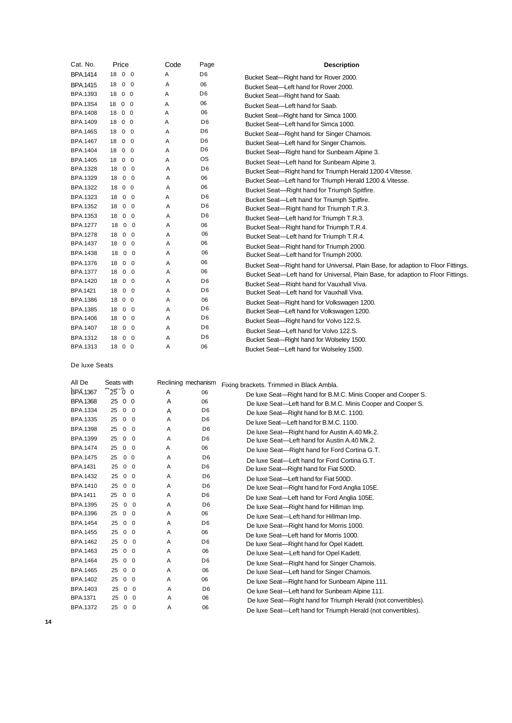| Cat. No.        | Price                                         | Code | Page           | <b>Description</b>                                                                |
|-----------------|-----------------------------------------------|------|----------------|-----------------------------------------------------------------------------------|
| <b>BPA.1414</b> | 18 0<br>$\overline{\mathbf{0}}$               | Α    | D <sub>6</sub> | Bucket Seat-Right hand for Rover 2000.                                            |
| <b>BPA.1415</b> | 18 0<br>$\overline{\mathbf{0}}$               | Α    | 06             | Bucket Seat-Left hand for Rover 2000.                                             |
| <b>BPA.1393</b> | 18 0 0                                        | Α    | D <sub>6</sub> | Bucket Seat-Right hand for Saab.                                                  |
| <b>BPA.13S4</b> | 18 0 0                                        | Α    | 06             | Bucket Seat-Left hand for Saab.                                                   |
| <b>BPA.1408</b> | 18 0 0                                        | Α    | 06             | Bucket Seat-Right hand for Simca 1000.                                            |
| BPA.1409        | 18 0 0                                        | Α    | D <sub>6</sub> | Bucket Seat-Left hand for Simca 1000.                                             |
| <b>BPA.146S</b> | $\mathbf 0$<br>18<br>$\overline{0}$           | Α    | D <sub>6</sub> | Bucket Seat-Right hand for Singer Chamois.                                        |
| <b>BPA.1467</b> | 18<br>$\mathbf 0$<br>$\overline{0}$           | Α    | D <sub>6</sub> | Bucket Seat-Left hand for Singer Chamois.                                         |
| <b>BPA.1404</b> | 18 0 0                                        | Α    | D <sub>6</sub> | Bucket Seat-Right hand for Sunbeam Alpine 3.                                      |
| <b>BPA.1405</b> | 18 0 0                                        | Α    | <b>OS</b>      | Bucket Seat-Left hand for Sunbeam Alpine 3.                                       |
| <b>BPA.1328</b> | $\mathbf 0$<br>18<br>$\overline{\mathbf{0}}$  | Α    | D <sub>6</sub> | Bucket Seat-Right hand for Triumph Herald 1200 4 Vitesse.                         |
| BPA.1329        | 18<br>$0\quad 0$                              | Α    | 06             | Bucket Seat-Left hand for Triumph Herald 1200 & Vitesse.                          |
| <b>BPA.1322</b> | 0 <sub>0</sub><br>18                          | A    | 06             | Bucket Seat-Right hand for Triumph Spitfire.                                      |
| <b>BPA.1323</b> | $0\quad 0$<br>18                              | Α    | D <sub>6</sub> | Bucket Seat-Left hand for Triumph Spitfire.                                       |
| BPA.1352        | $0\quad 0$<br>18                              | Α    | D <sub>6</sub> | Bucket Seat-Right hand for Triumph T.R.3.                                         |
| BPA.1353        | 18<br>$\mathbf 0$<br>$\overline{\mathbf{0}}$  | Α    | D <sub>6</sub> | Bucket Seat-Left hand for Triumph T.R.3.                                          |
| <b>BPA.1277</b> | $0\quad 0$<br>18                              | Α    | 06             | Bucket Seat-Right hand for Triumph T.R.4.                                         |
| <b>BPA.1278</b> | $0\quad 0$<br>18                              | Α    | 06             | Bucket Seat-Left hand for Triumph T.R.4.                                          |
| BPA.1437        | 18<br>$0\quad 0$                              | Α    | 06             | Bucket Seat-Right hand for Triumph 2000.                                          |
| BPA.1438        | 18<br>$0\quad 0$                              | Α    | 06             | Bucket Seat-Left hand for Triumph 2000.                                           |
| BPA.1376        | $\mathbf 0$<br>18<br>$\overline{\mathbf{0}}$  | Α    | 06             | Bucket Seat—Right hand for Universal, Plain Base, for adaption to Floor Fittings. |
| <b>BPA.1377</b> | 18<br>$\mathbf 0$<br>$\overline{0}$           | A    | 06             | Bucket Seat-Left hand for Universal, Plain Base, for adaption to Floor Fittings.  |
| BPA.1420        | $0\quad 0$<br>18                              | Α    | D <sub>6</sub> | Bucket Seat-Right hand for Vauxhall Viva.                                         |
| <b>BPA.1421</b> | 18<br>$0\quad 0$                              | A    | D <sub>6</sub> | Bucket Seat-Left hand for Vauxhall Viva.                                          |
| <b>BPA.1386</b> | 18 0 0                                        | Α    | 06             | Bucket Seat-Right hand for Volkswagen 1200.                                       |
| <b>BPA.1385</b> | 18<br>$0\quad 0$                              | Α    | D <sub>6</sub> | Bucket Seat-Left hand for Volkswagen 1200.                                        |
| BPA.1406        | $\mathbf 0$<br>18<br>$\overline{\phantom{0}}$ | Α    | D <sub>6</sub> | Bucket Seat-Right hand for Volvo 122.S.                                           |
| BPA.1407        | $0\quad 0$<br>18                              | Α    | D <sub>6</sub> | Bucket Seat-Left hand for Volvo 122.S.                                            |
| BPA.1312        | 18<br>$0\quad 0$                              | Α    | D <sub>6</sub> | Bucket Seat-Right hand for Wolseley 1500.                                         |
| BPA.1313        | 18 0 0                                        | Α    | 06             | Bucket Seat-Left hand for Wolseley 1500.                                          |

De luxe Seats

| All De          | Seats with |                |              | Reclining mechanism |                | Fixing brackets. Trimmed in Black Ambla.                       |
|-----------------|------------|----------------|--------------|---------------------|----------------|----------------------------------------------------------------|
| <b>BPA.1367</b> | 2500       |                |              | A                   | 06             | De luxe Seat-Right hand for B.M.C. Minis Cooper and Cooper S.  |
| <b>BPA.1368</b> | 25         | 0 <sub>0</sub> |              | A                   | 06             | De luxe Seat-Left hand for B.M.C. Minis Cooper and Cooper S.   |
| BPA.1334        | 25         | $\mathbf 0$    | $\mathbf 0$  | A                   | D <sub>6</sub> | De luxe Seat-Right hand for B.M.C. 1100.                       |
| BPA.1335        | 25         | $\mathbf{0}$   | $\mathbf 0$  | A                   | D <sub>6</sub> | De luxe Seat-Left hand for B.M.C. 1100.                        |
| <b>BPA.1398</b> | 25         | $\mathbf{0}$   | $\mathbf 0$  | A                   | D <sub>6</sub> | De luxe Seat-Right hand for Austin A.40 Mk.2.                  |
| BPA.1399        | 25         | $\mathbf{0}$   | $\Omega$     | A                   | D <sub>6</sub> | De luxe Seat-Left hand for Austin A.40 Mk.2.                   |
| <b>BPA.1474</b> | 25         | $\mathbf 0$    | $\mathbf 0$  | A                   | 06             | De luxe Seat-Right hand for Ford Cortina G.T.                  |
| <b>BPA.1475</b> | 25         | $\mathbf{0}$   | $\mathbf{0}$ | A                   | D <sub>6</sub> | De luxe Seat-Left hand for Ford Cortina G.T.                   |
| BPA.1431        | 25         | $\mathbf 0$    | $\mathbf 0$  | A                   | D <sub>6</sub> | De luxe Seat-Right hand for Fiat 500D.                         |
| BPA.1432        | 25         | $\mathbf 0$    | $\Omega$     | A                   | D <sub>6</sub> | De luxe Seat-Left hand for Fiat 500D.                          |
| BPA.1410        | 25         | $\mathbf 0$    | $\Omega$     | A                   | D <sub>6</sub> | De luxe Seat-Right hand for Ford Anglia 105E.                  |
| <b>BPA.1411</b> | 25         | $\mathbf 0$    | $\Omega$     | A                   | D <sub>6</sub> | De luxe Seat-Left hand for Ford Anglia 105E.                   |
| <b>BPA.1395</b> | 25         | $\mathbf{0}$   | $\Omega$     | A                   | D <sub>6</sub> | De luxe Seat-Right hand for Hillman Imp.                       |
| BPA.1396        | 25         | $\mathbf{0}$   | $\Omega$     | A                   | 06             | De luxe Seat-Left hand for Hillman Imp.                        |
| <b>BPA.1454</b> | 25         | $\mathbf 0$    | $\mathbf 0$  | Α                   | D <sub>6</sub> | De luxe Seat-Right hand for Morris 1000.                       |
| <b>BPA.1455</b> | 25         | $\mathbf 0$    | $\Omega$     | Α                   | 06             | De luxe Seat-Left hand for Morris 1000.                        |
| BPA.1462        | 25         | $\mathbf{0}$   | $\Omega$     | A                   | D <sub>6</sub> | De luxe Seat-Right hand for Opel Kadett.                       |
| BPA.1463        | 25         | $\mathbf{0}$   | $\Omega$     | A                   | 06             | De luxe Seat-Left hand for Opel Kadett.                        |
| BPA.1464        | 25         | $\mathbf 0$    | $\Omega$     | Α                   | D <sub>6</sub> | De luxe Seat-Right hand for Singer Chamois.                    |
| BPA.1465        | 25         | $\mathbf{0}$   | $\Omega$     | Α                   | 06             | De luxe Seat-Left hand for Singer Chamois.                     |
| BPA.1402        | 25         | $\mathbf 0$    | $\Omega$     | Α                   | 06             | De luxe Seat-Right hand for Sunbeam Alpine 111.                |
| BPA.1403        | 25         | $\mathbf 0$    | $\Omega$     | A                   | D <sub>6</sub> | Oe luxe Seat-Left hand for Sunbeam Alpine 111.                 |
| <b>BPA.1371</b> | 25         | $\mathbf{0}$   | $\mathbf 0$  | A                   | 06             | De luxe Seat—Right hand for Triumph Herald (not convertibles). |
| <b>BPA.1372</b> | 25         | $\mathbf 0$    | $\Omega$     | Α                   | 06             | De luxe Seat-Left hand for Triumph Herald (not convertibles).  |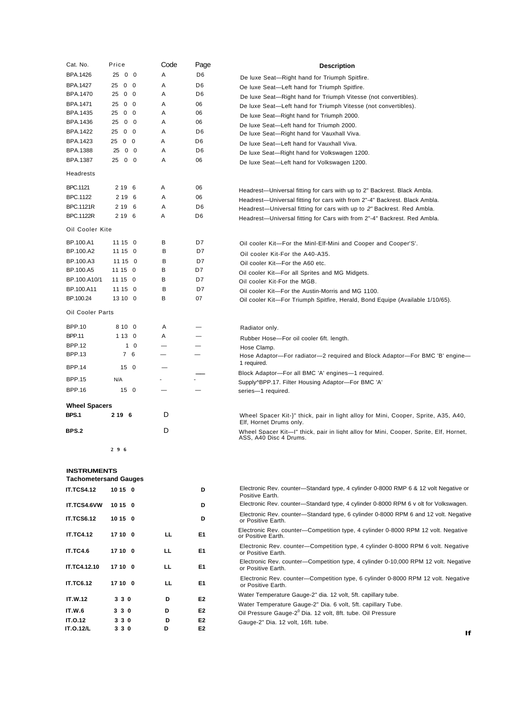| Cat. No.             | Price            |            | Code | Page           | <b>Description</b>                                                                                              |
|----------------------|------------------|------------|------|----------------|-----------------------------------------------------------------------------------------------------------------|
| <b>BPA.1426</b>      | 25 0 0           |            | Α    | D <sub>6</sub> | De luxe Seat-Right hand for Triumph Spitfire.                                                                   |
| <b>BPA.1427</b>      | $0\quad 0$<br>25 |            | A    | D <sub>6</sub> | Oe luxe Seat-Left hand for Triumph Spitfire.                                                                    |
| BPA.1470             | 25<br>$0\quad 0$ |            | Α    | D <sub>6</sub> | De luxe Seat-Right hand for Triumph Vitesse (not convertibles).                                                 |
| BPA.1471             | 25<br>$0\quad 0$ |            | Α    | 06             | De luxe Seat-Left hand for Triumph Vitesse (not convertibles).                                                  |
| BPA.1435             | $0\quad 0$<br>25 |            | A    | 06             | De luxe Seat-Right hand for Triumph 2000.                                                                       |
| BPA.1436             | 25               | $0\quad 0$ | A    | 06             | De luxe Seat-Left hand for Triumph 2000.                                                                        |
| <b>BPA.1422</b>      | 25<br>$0\quad 0$ |            | A    | D <sub>6</sub> | De luxe Seat-Right hand for Vauxhall Viva.                                                                      |
| BPA.1423             | 25 0 0           |            | A    | D6             | De luxe Seat-Left hand for Vauxhall Viva.                                                                       |
| <b>BPA.1388</b>      | 25               | $0\quad 0$ | Α    | D6             | De luxe Seat-Right hand for Volkswagen 1200.                                                                    |
| <b>BPA.1387</b>      | 25 0 0           |            | Α    | 06             | De luxe Seat-Left hand for Volkswagen 1200.                                                                     |
| Headrests            |                  |            |      |                |                                                                                                                 |
| <b>BPC.1121</b>      | 2 19 6           |            | Α    | 06             | Headrest—Universal fitting for cars with up to 2" Backrest. Black Ambla.                                        |
| BPC.1122             | 2 19 6           |            | A    | 06             | Headrest-Universal fitting for cars with from 2"-4" Backrest. Black Ambla.                                      |
| <b>BPC.1121R</b>     | 2 19 6           |            | A    | D <sub>6</sub> | Headrest—Universal fitting for cars with up to 2" Backrest. Red Ambla.                                          |
| <b>BPC.1122R</b>     | 2 19 6           |            | A    | D <sub>6</sub> | Headrest-Universal fitting for Cars with from 2"-4" Backrest. Red Ambla.                                        |
| Oil Cooler Kite      |                  |            |      |                |                                                                                                                 |
| BP.100.A1            | 11 15 0          |            | в    | D7             | Oil cooler Kit-For the Minl-Elf-Mini and Cooper and Cooper'S'.                                                  |
| BP.100.A2            | 11 15 0          |            | в    | D7             | Oil cooler Kit-For the A40-A35.                                                                                 |
| BP.100.A3            | 11 15 0          |            | в    | D7             | Oil cooler Kit-For the A60 etc.                                                                                 |
| BP.100.A5            | 11 15 0          |            | в    | D7             | Oil cooler Kit-For all Sprites and MG Midgets.                                                                  |
| BP.100.A10/1         | 11 15 0          |            | в    | D7             | Oil cooler Kit-For the MGB.                                                                                     |
| BP.100.A11           | 11 15 0          |            | B    | D7             | Oil cooler Kit-For the Austin-Morris and MG 1100.                                                               |
| BP.100.24            | 13 10 0          |            | B    | 07             | Oil cooler Kit-For Triumph Spitfire, Herald, Bond Equipe (Available 1/10/65).                                   |
| Oil Cooler Parts     |                  |            |      |                |                                                                                                                 |
| <b>BPP.10</b>        | 8 10 0           |            | A    |                | Radiator only.                                                                                                  |
| <b>BPP.11</b>        | 1130             |            | A    |                | Rubber Hose-For oil cooler 6ft. length.                                                                         |
| <b>BPP.12</b>        |                  | $1\quad0$  |      |                | Hose Clamp.                                                                                                     |
| <b>BPP.13</b>        | 7 6              |            |      |                | Hose Adaptor-For radiator-2 required and Block Adaptor-For BMC 'B' engine-<br>1 required.                       |
| <b>BPP.14</b>        | 15 <sub>0</sub>  |            |      |                |                                                                                                                 |
| <b>BPP.15</b>        | N/A              |            |      |                | Block Adaptor-For all BMC 'A' engines-1 required.<br>Supply^BPP.17. Filter Housing Adaptor-For BMC 'A'          |
| <b>BPP.16</b>        | 150              |            |      |                | series-1 required.                                                                                              |
| <b>Wheel Spacers</b> |                  |            |      |                |                                                                                                                 |
| <b>BPS.1</b>         | 2 19 6           |            | D    |                | Wheel Spacer Kit-}" thick, pair in light alloy for Mini, Cooper, Sprite, A35, A40,<br>Elf, Hornet Drums only.   |
| BPS.2                |                  |            | D    |                | Wheel Spacer Kit-I" thick, pair in light alloy for Mini, Cooper, Sprite, Elf, Hornet,<br>ASS, A40 Disc 4 Drums. |
|                      | 296              |            |      |                |                                                                                                                 |
| <b>INSTRUMENTS</b>   |                  |            |      |                |                                                                                                                 |
|                      |                  |            |      |                |                                                                                                                 |

| <b>Tachometersand Gauges</b> |         |  |     |                |  |  |
|------------------------------|---------|--|-----|----------------|--|--|
| IT.TCS4.12 10 15 0           |         |  |     | D              |  |  |
| IT.TCS4.6VW 10 15 0          |         |  |     | D              |  |  |
| <b>IT.TCS6.12</b>            | 10 15 0 |  |     | D              |  |  |
| <b>IT.TC4.12</b>             | 17 10 0 |  | LL. | E1             |  |  |
| <b>IT.TC4.6</b>              | 17 10 0 |  | LL. | E <sub>1</sub> |  |  |
| IT.TC4.12.10 17 10 0         |         |  | LL. | E1             |  |  |
| <b>IT.TC6.12</b>             | 17 10 0 |  | LL. | E <sub>1</sub> |  |  |
| <b>IT.W.12</b>               | 330     |  | D   | E <sub>2</sub> |  |  |
| <b>IT.W.6</b>                | 330     |  | D   | E <sub>2</sub> |  |  |
| <b>IT.O.12</b>               | 330     |  | D   | E <sub>2</sub> |  |  |
| <b>IT.O.12/L</b>             | 330     |  | D   | E <sub>2</sub> |  |  |

- Electronic Rev. counter—Standard type, 4 cylinder 0-8000 RMP 6 & 12 volt Negative or Positive Earth. Electronic Rev. counter—Standard type, 4 cylinder 0-8000 RPM 6 v olt for Volkswagen.
- Electronic Rev. counter—Standard type, 6 cylinder 0-8000 RPM 6 and 12 volt. Negative
- or Positive Earth. Electronic Rev. counter—Competition type, 4 cylinder 0-8000 RPM 12 volt. Negative
- or Positive Earth.
- Electronic Rev. counter—Competition type, 4 cylinder 0-8000 RPM 6 volt. Negative or Positive Earth.
- Electronic Rev. counter—Competition type, 4 cylinder 0-10,000 RPM 12 volt. Negative or Positive Earth.
- Electronic Rev. counter—Competition type, 6 cylinder 0-8000 RPM 12 volt. Negative or Positive Earth.
- Water Temperature Gauge-2" dia. 12 volt, 5ft. capillary tube.
- Water Temperature Gauge-2" Dia. 6 volt, 5ft. capillary Tube.
- Oil Pressure Gauge-2<sup>0</sup> Dia. 12 volt, 8ft. tube. Oil Pressure
- Gauge-2" Dia. 12 volt, 16ft. tube.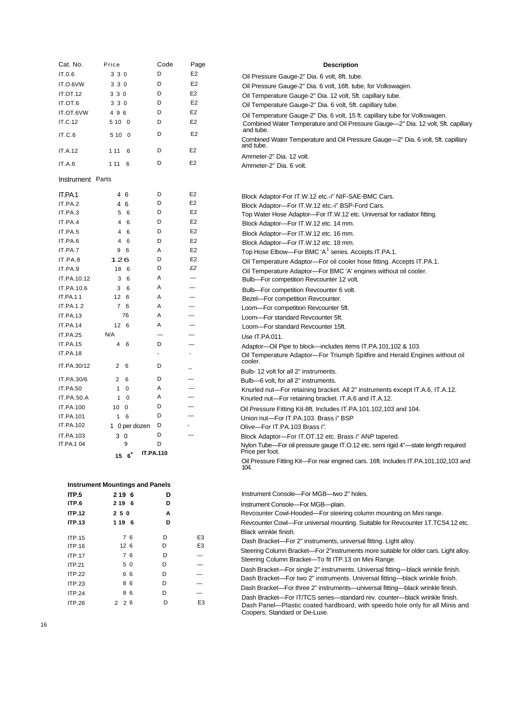| Cat. No.           | Price                                       | Code   | Page                     |
|--------------------|---------------------------------------------|--------|--------------------------|
| IT.0.6             | 3 3 0                                       | D      | E2                       |
| IT.O.6VW           | 3 3 0                                       | D      | E <sub>2</sub>           |
| <b>IT.OT.12</b>    | 3 3 0                                       | D      | E <sub>2</sub>           |
| IT.OT.6            | 3 3 0                                       | D      | E <sub>2</sub>           |
| IT.OT.6VW          | 496                                         | D      | E2                       |
| IT.C.12            | 5 10 0                                      | D      | E <sub>2</sub>           |
| IT.C.6             | 5 10<br>0                                   | D      | E <sub>2</sub>           |
|                    |                                             |        |                          |
| IT.A.12            | 1 1 1<br>6                                  | D      | E <sub>2</sub>           |
| IT.A.6             | 1 1 1<br>6                                  | D      | E <sub>2</sub>           |
|                    |                                             |        |                          |
| Instrument Parts   |                                             |        |                          |
|                    |                                             | D      | E <sub>2</sub>           |
| IT.PA.1            | 46                                          | D      | E <sub>2</sub>           |
| IT.PA.2<br>IT.PA.3 | 4<br>6<br>5<br>6                            | D      | E <sub>2</sub>           |
|                    | 4                                           | D      | E <sub>2</sub>           |
| IT.PA.4            | 6                                           |        |                          |
| IT.PA.5            | $\overline{4}$<br>6                         | D      | E <sub>2</sub>           |
| IT.PA.6            | 4<br>6                                      | D      | E <sub>2</sub>           |
| IT.PA.7            | 9<br>6                                      | Α      | E <sub>2</sub>           |
| IT.PA.8            | 126                                         | D<br>D | E <sub>2</sub><br>£2     |
| IT.PA.9            | 18<br>6                                     |        |                          |
| IT.PA.10.12        | 3<br>6                                      | Α      | —                        |
| IT.PA.10.6         | 3<br>6                                      | Α      | —                        |
| IT.PA.11           | 12<br>6                                     | Α      |                          |
| IT.PA.1 2          | 7<br>6                                      | Α      |                          |
| IT.PA.13           | 76                                          | Α      |                          |
| IT.PA.14           | 12<br>6                                     | Α      |                          |
| <b>IT.PA.25</b>    | N/A                                         |        |                          |
| IT.PA.15           | 4<br>6                                      | D      |                          |
| IT.PA.18           |                                             | ۰      | ۰                        |
| IT.PA.30/12        | 2<br>6                                      | D      |                          |
| IT.PA.30/6         | 2<br>6                                      | D      |                          |
| <b>IT.PA.50</b>    | 1<br>0                                      | Α      | $\overline{\phantom{0}}$ |
| IT.PA.50.A         | $\mathbf{1}$<br>0                           | Α      |                          |
| IT.PA.100          | 10<br>0                                     | D      |                          |
| IT.PA.101          | 1<br>6                                      | D      |                          |
| IT.PA.102          | 1 0 per dozen                               | D      |                          |
| IT.PA.103          | 3<br>0                                      | D      |                          |
| IT.PA.1 04         | 9                                           | D      |                          |
|                    | <b>IT.PA.110</b><br>$15\text{ }6^{\degree}$ |        |                          |
|                    |                                             |        |                          |
|                    |                                             |        |                          |
|                    | <b>Instrument Mountings and Panels</b>      |        |                          |
| ITP.5              | 2 19 6                                      | D      |                          |
| ITP.6              | 2 19 6                                      | D      |                          |
| <b>ITP.12</b>      | 250                                         | Α      |                          |
| <b>ITP.13</b>      | 1 19 6                                      | D      |                          |

| <b>ITP.13</b> | 1 19 6          | D |                |
|---------------|-----------------|---|----------------|
| <b>ITP.15</b> | 76              | D | E <sub>3</sub> |
| <b>ITP.16</b> | 126             | D | E <sub>3</sub> |
| <b>ITP.17</b> | 76              | D |                |
| <b>ITP.21</b> | 5 0             | D | $\overline{a}$ |
| <b>ITP.22</b> | 66              | D |                |
| <b>ITP.23</b> | 86              | D |                |
| <b>ITP.24</b> | 86              | D |                |
| <b>ITP.26</b> | $2\quad2\quad6$ | D | E <sub>3</sub> |
|               |                 |   |                |

| <b>Description</b>                                                                                                                                             |
|----------------------------------------------------------------------------------------------------------------------------------------------------------------|
| Oil Pressure Gauge-2" Dia. 6 volt, 8ft. tube.                                                                                                                  |
| Oil Pressure Gauge-2" Dia. 6 volt, 16ft. tube, for Volkswagen.                                                                                                 |
| Oil Temperature Gauge-2" Dia. 12 volt, 5ft. capillary tube.                                                                                                    |
| Oil Temperature Gauge-2" Dia. 6 volt, 5ft. capillary tube.                                                                                                     |
| Oil Temperature Gauge-2" Dia. 6 volt, 15 ft. capillary tube for Volkswagen.                                                                                    |
| Combined Water Temperature and Oil Pressure Gauge-2" Dia. 12 volt, 5ft. capillary<br>and tube.                                                                 |
| Combined Water Temperature and Oil Pressure Gauge—2" Dia. 6 volt, 5ft. capillary<br>and tube.                                                                  |
| Ammeter-2" Dia, 12 volt.                                                                                                                                       |
| Ammeter-2" Dia, 6 volt.                                                                                                                                        |
| Block Adaptor-For IT.W.12 etc.-i" NIF-SAE-BMC Cars.                                                                                                            |
| Block Adaptor-For IT.W.12 etc.-i" BSP-Ford Cars.                                                                                                               |
| Top Water Hose Adaptor-For IT.W.12 etc. Universal for radiator fitting.                                                                                        |
| Block Adaptor-For IT.W.12 etc. 14 mm.                                                                                                                          |
| Block Adaptor-For IT.W.12 etc. 16 mm.                                                                                                                          |
| Block Adaptor-For IT.W.12 etc. 18 mm.<br>Top Hose Elbow-For BMC 'A <sup>1</sup> series. Accepts IT.PA.1.                                                       |
| Oil Temperature Adaptor-For oil cooler hose fitting. Accepts IT.PA.1.                                                                                          |
| Oil Temperature Adaptor-For BMC 'A' engines without oil cooler.                                                                                                |
| Bulb-For competition Revcounter 12 volt.                                                                                                                       |
| Bulb-For competition Revcounter 6 volt.                                                                                                                        |
| Bezel-For competition Revcounter.                                                                                                                              |
| Loom-For competition Revcounter 5ft.                                                                                                                           |
| Loom-For standard Revcounter 5ft.                                                                                                                              |
| Loom-For standard Revcounter 15ft.                                                                                                                             |
| Use IT.PA.011.                                                                                                                                                 |
| Adaptor—Oil Pipe to block—includes items IT.PA.101,102 & 103.<br>Oil Temperature Adaptor-For Triumph Spitfire and Herald Engines without oil<br>cooler.        |
| Bulb-12 volt for all 2" instruments.                                                                                                                           |
| Bulb-6 volt, for all 2" instruments.                                                                                                                           |
| Knurled nut-For retaining bracket. All 2" instruments except IT.A.6, IT.A.12.                                                                                  |
| Knurled nut-For retaining bracket. IT.A.6 and IT.A.12.                                                                                                         |
| Oil Pressure Fitting Kit-8ft. Includes IT.PA.101.102,103 and 104.                                                                                              |
| Union nut-For IT.PA.103. Brass i" BSP                                                                                                                          |
| Olive-For IT.PA.103 Brass i".                                                                                                                                  |
| Block Adaptor-For IT.OT.12 etc. Brass i" ANP tapered.<br>Nylon Tube-For oil pressure gauge IT.O.12 etc. semi rigid 4"-state length required<br>Price per foot. |
| Oil Pressure Fitting Kit—For rear engined cars. 16ft. Includes IT.PA.101,102,103 and<br>104.                                                                   |
| Instrument Console-For MGB-two 2" holes.                                                                                                                       |
| Instrument Console-For MGB-plain.                                                                                                                              |
|                                                                                                                                                                |

Revcounter Cowl-Hooded—For steering column mounting on Mini range. Revcounter Cowl—For universal mounting. Suitable for Revcounter 1T.TCS4.12 etc. Black wrinkle finish.

Dash Bracket—For 2" instruments, universal fitting. Light alloy.

Steering Column Bracket—For 2"instruments more suitable for older cars. Light alloy. Steering Column Bracket—To fit ITP.13 on Mini Range.

Dash Bracket—For single 2" instruments. Universal fitting—black wrinkle finish.

Dash Bracket—For two 2" instruments. Universal fitting—black wrinkle finish.

Dash Bracket—For three 2" instruments—universal fitting—black wrinkle finish.

Dash Bracket—For IT/TCS series—standard rev. counter—black wrinkle finish. Dash Panel—Plastic coated hardboard, with speedo hole only for all Minis and Coopers, Standard or De-Luxe.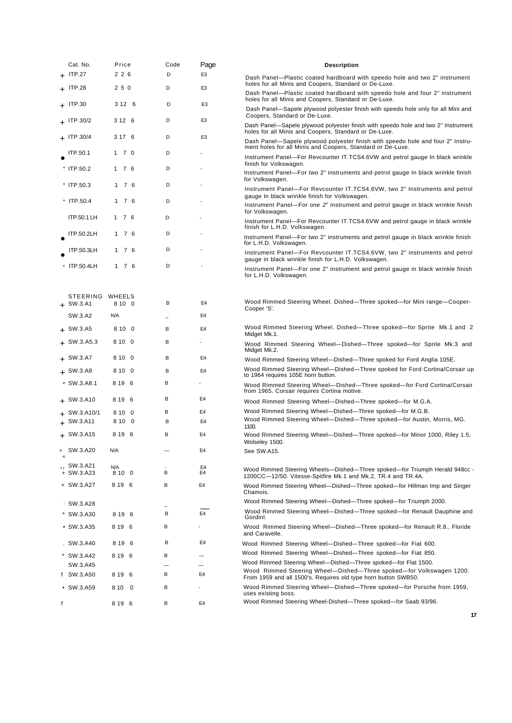|   | Cat. No.          | Price  |   | Code | Page           | <b>Description</b>                                                                                                                          |
|---|-------------------|--------|---|------|----------------|---------------------------------------------------------------------------------------------------------------------------------------------|
|   | $+$ ITP.27        | 226    |   | D    | E3             | Dash Panel—Plastic coated hardboard with speedo hole and two 2" instrument                                                                  |
|   | $+$ ITP.28        | 250    |   | D    | E3             | holes for all Minis and Coopers, Standard or De-Luxe.<br>Dash Panel-Plastic coated hardboard with speedo hole and four 2" instrument        |
|   | $+$ ITP.30        | 3 12 6 |   | D    | E <sub>3</sub> | holes for all Minis and Coopers, Standard or De-Luxe.<br>Dash Panel—Sapele plywood polyester finish with speedo hole only for all Mini and  |
|   | $+$ ITP.30/2      | 3 12 6 |   | D    | E3             | Coopers, Standard or De-Luxe.<br>Dash Panel—Sapele plywood polyester finish with speedo hole and two 2" Instrument                          |
|   | + ITP.30/4        | 3 17 6 |   | D    | E3             | holes for all Minis and Coopers, Standard or De-Luxe.<br>Dash Panel—Sapele plywood polyester finish with speedo hole and four 2" Instru-    |
|   | <b>ITP.50.1</b>   | 1 7 0  |   | D    |                | ment holes for all Minis and Coopers, Standard or De-Luxe.                                                                                  |
|   | $*$ ITP.50.2      | 1 7 6  |   | D    |                | Instrument Panel-For Revcounter IT.TCS4.6VW and petrol gauge In black wrinkle<br>finish for Volkswagen.                                     |
|   |                   |        |   |      |                | Instrument Panel—For two 2" instruments and petrol gauge In black wrinkle finish<br>for Volkswagen.                                         |
|   | $*$ ITP.50.3      | 1 7 6  |   | D    |                | Instrument Panel-For Revcounter IT.TCS4.6VW, two 2" Instruments and petrol<br>gauge In black wrinkle finish for Volkswagen.                 |
|   | * ITP.50.4        | 1 7 6  |   | D    |                | Instrument Panel-For one 2" instrument and petrol gauge in black wrinkle finish<br>for Volkswagen.                                          |
|   | ITP.50.1 LH       | 1 7 6  |   | D    |                | Instrument Panel-For Revcounter IT.TCS4.6VW and petrol gauge in black wrinkle<br>finish for L.H.D. Volkswagen.                              |
|   | ITP.50.2LH        | 1 7 6  |   | D    |                | Instrument Panel-For two 2" instruments and petrol gauge in black wrinkle finish                                                            |
|   | ITP.50.3LH        | 176    |   | D    |                | for L.H.D. Volkswagen.<br>Instrument Panel-For Revcounter IT.TCS4.6VW, two 2" instruments and petrol                                        |
|   | » ITP.50.4LH      | 1 7 6  |   | D    |                | gauge in black wrinkle finish for L.H.D. Volkswagen.<br>Instrument Panel-For one 2" instrument and petrol gauge in black wrinkle finish     |
|   |                   |        |   |      |                | for L.H.D. Volkswagen.                                                                                                                      |
|   | STEERING WHEELS   |        |   |      |                |                                                                                                                                             |
|   | $+$ SW.3.A1       | 8 10 0 |   | В    | E4             | Wood Rimmed Steering Wheel. Dished-Three spoked-for Mini range-Cooper-<br>Cooper 'S'.                                                       |
|   | SW.3.A2           | N/A    |   |      | E4             |                                                                                                                                             |
|   | $+$ SW.3.A5       | 8 10 0 |   | в    | E <sub>4</sub> | Wood Rimmed Steering Wheel. Dished-Three spoked-for Sprite Mk.1 and 2<br>Midget Mk.1.                                                       |
|   | $+$ SW.3.A5.3     | 8 10 0 |   | B    |                | Wood Rimmed Steering Wheel--Dished--Three spoked--for Sprite Mk.3 and<br>Midget Mk.2.                                                       |
|   | $+$ SW.3.A7       | 8 10 0 |   | B    | E <sub>4</sub> | Wood Rimmed Steering Wheel--Dished--Three spoked for Ford Anglia 105E.                                                                      |
|   | $+$ SW.3.A8       | 8 10 0 |   | B    | E <sub>4</sub> | Wood Rimmed Steering Wheel--Dished--Three spoked for Ford Cortina/Corsair up<br>to 1964 requires 105E horn button.                          |
|   | $\cdot$ SW.3.A8.1 | 8 19 6 |   | В    |                | Wood Rimmed Steering Wheel--Dished--Three spoked-for Ford Cortina/Corsair<br>from 1965. Corsair requires Cortina motive.                    |
|   | $+$ SW.3.A10      | 8 19 6 |   | в    | E4             | Wood Rimmed Steering Wheel--Dished--Three spoked-for M.G.A.                                                                                 |
|   | $+$ SW.3.A10/1    | 8 10 0 |   | в    | E4             | Wood Rimmed Steering Wheel--Dished--Three spoked--for M.G.B.                                                                                |
|   | $+$ SW.3.A11      | 8 10 0 |   | B    | E <sub>4</sub> | Wood Rimmed Steering Wheel--Dished--Three spoked-for Austin, Morris, MG.<br>1100.                                                           |
|   | $+$ SW.3.A15      | 8 19 6 |   | в    | E <sub>4</sub> | Wood Rimmed Steering Wheel--Dished--Three spoked--for Minor 1000, Riley 1.5,                                                                |
| ⋗ | SW.3.A20          | N/A    |   |      | E4             | Wolseley 1500.<br>See SW.A15.                                                                                                               |
|   | SW.3.A21          | N/A    |   |      | E <sub>4</sub> |                                                                                                                                             |
|   | $+$ SW.3.A23      | 8 10 0 | B |      | E4             | Wood Rimmed Steering Wheels—Dished—Three spoked—for Triumph Herald 948cc -<br>1200CC-12/50. Vitesse-Spitfire Mk.1 and Mk.2, TR.4 and TR.4A. |
|   | + SW.3.A27        | 8 19 6 | B |      | E4             | Wood Rimmed Steering Wheel--Dished--Three spoked-for Hillman Imp and Singer<br>Chamois.                                                     |
|   | $\cdot$ SW.3.A28  |        |   |      |                | Wood Rimmed Steering Wheel—Dished—Three spoked—for Triumph 2000.                                                                            |
|   | * SW.3.A30        | 8 19 6 |   | в    | E4             | Wood Rimmed Steering Wheel--Dished--Three spoked-for Renault Dauphine and<br>Gordinl.                                                       |
|   | $\cdot$ SW.3.A35  | 8196   | В |      |                | Wood Rimmed Steering Wheel--Dished--Three spoked--for Renault R.8., Floride<br>and Caravelle.                                               |
|   | . SW.3.A40        | 8 19 6 |   | в    | E4             | Wood Rimmed Steering Wheel-Dished-Three spoked-for Fiat 600.                                                                                |
|   | * SW.3.A42        | 8196   | в |      |                | Wood Rimmed Steering Wheel--Dished--Three spoked-for Fiat 850.                                                                              |
|   | SW.3.A45          |        | В |      | E4             | Wood Rimmed Steering Wheel—Dished—Three spoked—for Flat 1500.<br>Wood Rimmed Steering Wheel--Dished--Three spoked-for Volkswagen 1200.      |
|   | f SW.3.A50        | 8196   | В |      |                | From 1959 and all 1500's. Requires old type horn button SWB50.<br>Wood Rimmed Steering Wheel--Dished--Three spoked--for Porsche from 1959,  |
|   | $\cdot$ SW.3.A59  | 810 0  |   |      |                | uses existing boss.                                                                                                                         |
| f |                   | 8 19 6 | в |      | E4             | Wood Rimmed Steering Wheel-Dished—Three spoked—for Saab 93/96.                                                                              |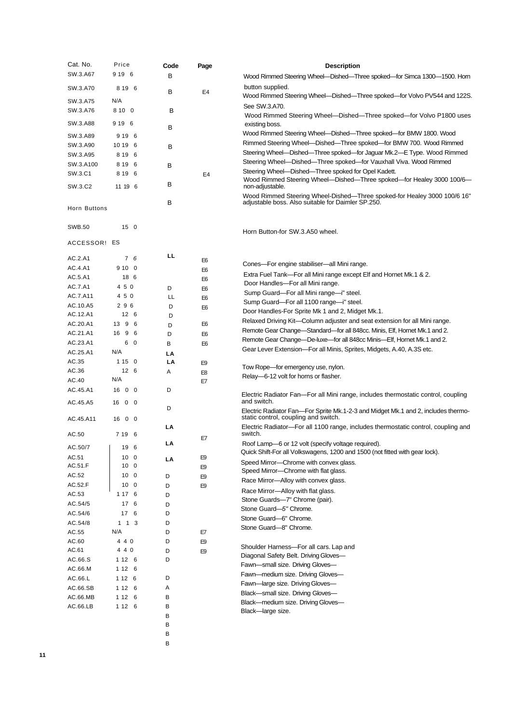| Cat. No.             | Price                              | Code    | Page                             | <b>Description</b>                                                                                                                              |
|----------------------|------------------------------------|---------|----------------------------------|-------------------------------------------------------------------------------------------------------------------------------------------------|
| SW.3.A67             | 9 19 6                             | в       |                                  | Wood Rimmed Steering Wheel—Dished—Three spoked—for Simca 1300—1500. Horn                                                                        |
| SW.3.A70             | 8 19 6                             |         |                                  | button supplied.                                                                                                                                |
| SW.3.A75             | N/A                                | В       | E4                               | Wood Rimmed Steering Wheel—Dished—Three spoked—for Volvo PV544 and 122S.                                                                        |
| SW.3.A76             | 8 10 0                             | В       |                                  | See SW.3.A70.                                                                                                                                   |
| SW.3.A88             | 9 19 6                             |         |                                  | Wood Rimmed Steering Wheel--Dished--Three spoked--for Volvo P1800 uses                                                                          |
|                      |                                    | В       |                                  | existing boss.<br>Wood Rimmed Steering Wheel—Dished—Three spoked—for BMW 1800. Wood                                                             |
| SW.3.A89<br>SW.3.A90 | 9 19 6                             |         |                                  | Rimmed Steering Wheel—Dished—Three spoked—for BMW 700. Wood Rimmed                                                                              |
| SW.3.A95             | 10 19 6<br>8 19 6                  | В       |                                  | Steering Wheel—Dished—Three spoked—for Jaquar Mk.2—E Type. Wood Rimmed                                                                          |
| SW.3.A100            | 8 19 6                             | В       |                                  | Steering Wheel—Dished—Three spoked—for Vauxhall Viva. Wood Rimmed                                                                               |
| SW.3.C1              | 8 19 6                             |         | E4                               | Steering Wheel--Dished--Three spoked for Opel Kadett.                                                                                           |
| SW.3.C2              | 11 19 6                            | В       |                                  | Wood Rimmed Steering Wheel—Dished—Three spoked—for Healey 3000 100/6—<br>non-adjustable.                                                        |
|                      |                                    |         |                                  | Wood Rimmed Steering Wheel-Dished—Three spoked-for Healey 3000 100/6 16"                                                                        |
| Horn Buttons         |                                    | В       |                                  | adjustable boss. Also suitable for Daimler SP.250.                                                                                              |
|                      |                                    |         |                                  |                                                                                                                                                 |
| <b>SWB.50</b>        | 15 <sub>0</sub>                    |         |                                  | Horn Button-for SW.3.A50 wheel.                                                                                                                 |
| ACCESSOR! ES         |                                    |         |                                  |                                                                                                                                                 |
|                      |                                    |         |                                  |                                                                                                                                                 |
| AC.2.A1              | 7 6                                | LL      | E <sub>6</sub>                   | Cones—For engine stabiliser—all Mini range.                                                                                                     |
| AC.4.A1              | 9100                               |         | E <sub>6</sub>                   | Extra Fuel Tank—For all Mini range except Elf and Hornet Mk.1 & 2.                                                                              |
| AC.5.A1              | 18 6                               |         | E <sub>6</sub>                   | Door Handles-For all Mini range.                                                                                                                |
| AC.7.A1<br>AC.7.A11  | 4 5 0<br>450                       | D<br>LL | E <sub>6</sub>                   | Sump Guard-For all Mini range-i" steel.                                                                                                         |
| AC.10.A5             | 296                                | D       | E <sub>6</sub><br>E <sub>6</sub> | Sump Guard—For all 1100 range—i" steel.                                                                                                         |
| AC.12.A1             | 12 6                               | D       |                                  | Door Handles-For Sprite Mk 1 and 2, Midget Mk.1.                                                                                                |
| AC.20.A1             | 13 9 6                             | D       | E <sub>6</sub>                   | Relaxed Driving Kit—Column adjuster and seat extension for all Mini range.                                                                      |
| AC.21.A1             | 16 9 6                             | D       | E <sub>6</sub>                   | Remote Gear Change—Standard—for all 848cc. Minis, Elf, Hornet Mk.1 and 2.                                                                       |
| AC.23.A1             | 60                                 | в       | E <sub>6</sub>                   | Remote Gear Change—De-luxe—for all 848cc Minis—Elf, Hornet Mk.1 and 2.<br>Gear Lever Extension-For all Minis, Sprites, Midgets, A.40, A.3S etc. |
| AC.25.A1             | N/A                                | LA      |                                  |                                                                                                                                                 |
| AC.35                | 1150<br>12 <sub>6</sub>            | LA      | E9                               | Tow Rope—for emergency use, nylon.                                                                                                              |
| AC.36<br>AC.40       | N/A                                | Α       | E8                               | Relay-6-12 volt for horns or flasher.                                                                                                           |
| AC.45.A1             | 16 0 0                             | D       | E7                               |                                                                                                                                                 |
|                      |                                    |         |                                  | Electric Radiator Fan—For all Mini range, includes thermostatic control, coupling<br>and switch.                                                |
| AC.45.A5             | 16 0 0                             | D       |                                  | Electric Radiator Fan—For Sprite Mk.1-2-3 and Midget Mk.1 and 2, includes thermo-                                                               |
| AC.45.A11            | 16 0 0                             |         |                                  | static control, coupling and switch.                                                                                                            |
| AC.50                | 7 19 6                             | LΑ      |                                  | Electric Radiator—For all 1100 range, includes thermostatic control, coupling and<br>switch.                                                    |
|                      |                                    | LA      | E7                               | Roof Lamp-6 or 12 volt (specify voltage required).                                                                                              |
| AC.50/7              | 19 6                               |         |                                  | Quick Shift-For all Volkswagens, 1200 and 1500 (not fitted with gear lock).                                                                     |
| AC.51                | 10 <sub>0</sub>                    | LA      | E9                               | Speed Mirror-Chrome with convex alass.                                                                                                          |
| AC.51.F<br>AC.52     | 10 <sub>0</sub><br>10 <sub>0</sub> | D       | E9                               | Speed Mirror--Chrome with flat glass.                                                                                                           |
| AC.52.F              | 10 <sub>0</sub>                    | D       | E9<br>E9                         | Race Mirror-Alloy with convex glass.                                                                                                            |
| AC.53                | 1 17 6                             | D       |                                  | Race Mirror-Alloy with flat glass.                                                                                                              |
| AC.54/5              | 17 6                               | D       |                                  | Stone Guards-7" Chrome (pair).                                                                                                                  |
| AC.54/6              | 17 6                               | D       |                                  | Stone Guard-5" Chrome.<br>Stone Guard-6" Chrome.                                                                                                |
| AC.54/8              | $1 \t1 \t3$                        | D       |                                  | Stone Guard-8" Chrome.                                                                                                                          |
| AC.55                | N/A                                | D       | E7                               |                                                                                                                                                 |
| AC.60                | 4 4 0<br>4 4 0                     | D       | E9                               | Shoulder Harness-For all cars. Lap and                                                                                                          |
| AC.61<br>AC.66.S     | 1 1 2 6                            | D<br>D  | E9                               | Diagonal Safety Belt. Driving Gloves-                                                                                                           |
| AC.66.M              | 1 1 2 6                            |         |                                  | Fawn-small size. Driving Gloves-                                                                                                                |
| AC.66.L              | 1 1 2 6                            | D       |                                  | Fawn-medium size. Driving Gloves-                                                                                                               |
| AC.66.SB             | 1 1 2 6                            | Α       |                                  | Fawn-large size. Driving Gloves-                                                                                                                |
| AC.66.MB             | 1 1 2 6                            | В       |                                  | Black-small size. Driving Gloves-<br>Black-medium size. Driving Gloves-                                                                         |
| AC.66.LB             | 1 1 2 6                            | В       |                                  | Black-large size.                                                                                                                               |
|                      |                                    | в       |                                  |                                                                                                                                                 |
|                      |                                    | В<br>В  |                                  |                                                                                                                                                 |
|                      |                                    | В       |                                  |                                                                                                                                                 |
|                      |                                    |         |                                  |                                                                                                                                                 |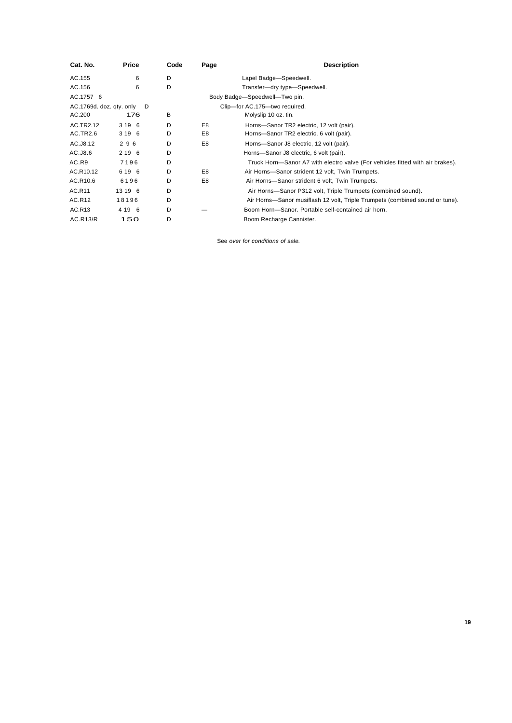| Cat. No.                 | Price   | Code | Page | <b>Description</b>                                                            |
|--------------------------|---------|------|------|-------------------------------------------------------------------------------|
| AC.155                   | 6       | D    |      | Lapel Badge-Speedwell.                                                        |
| AC.156                   | 6       | D    |      | Transfer-dry type-Speedwell.                                                  |
| AC.1757 6                |         |      |      | Body Badge-Speedwell-Two pin.                                                 |
| AC.1769d. doz. qty. only | D       |      |      | Clip-for AC.175-two required.                                                 |
| AC.200                   | 176     | B    |      | Molyslip 10 oz. tin.                                                          |
| AC.TR2.12                | 3 19 6  | D    | E8   | Horns-Sanor TR2 electric, 12 volt (pair).                                     |
| AC.TR2.6                 | 3 19 6  | D    | E8   | Horns-Sanor TR2 electric, 6 volt (pair).                                      |
| AC.J8.12                 | 296     | D    | E8   | Horns-Sanor J8 electric, 12 volt (pair).                                      |
| AC.J8.6                  | 2 19 6  | D    |      | Horns-Sanor J8 electric, 6 volt (pair).                                       |
| AC.R9                    | 7196    | D    |      | Truck Horn—Sanor A7 with electro valve (For vehicles fitted with air brakes). |
| AC.R10.12                | 6 19 6  | D    | E8   | Air Horns-Sanor strident 12 volt, Twin Trumpets.                              |
| AC.R10.6                 | 6196    | D    | E8   | Air Horns-Sanor strident 6 volt, Twin Trumpets.                               |
| AC.R11                   | 13 19 6 | D    |      | Air Horns-Sanor P312 volt, Triple Trumpets (combined sound).                  |
| AC.R12                   | 18196   | D    |      | Air Horns—Sanor musiflash 12 volt, Triple Trumpets (combined sound or tune).  |
| AC.R13                   | 4 19 6  | D    |      | Boom Horn-Sanor. Portable self-contained air horn.                            |
| AC.R13/R                 | 150     | D    |      | Boom Recharge Cannister.                                                      |

See *over for conditions of sale.*